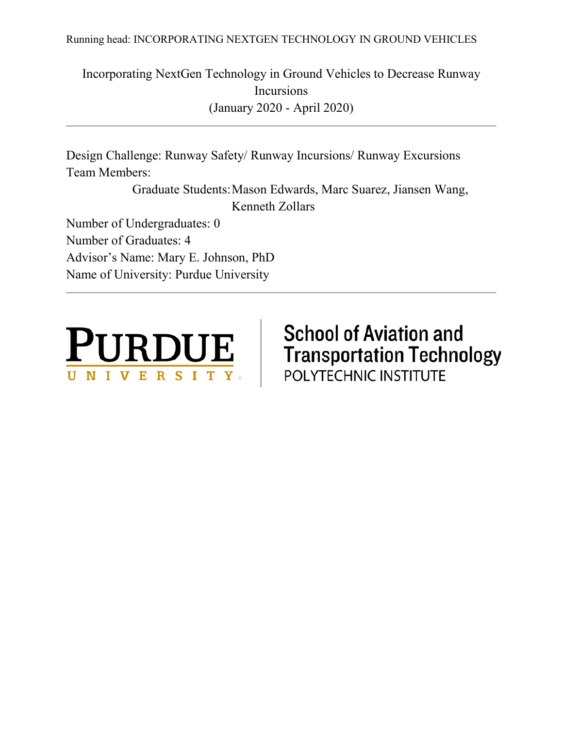Running head: INCORPORATING NEXTGEN TECHNOLOGY IN GROUND VEHICLES

Incorporating NextGen Technology in Ground Vehicles to Decrease Runway Incursions (January 2020 - April 2020)

Design Challenge: Runway Safety/ Runway Incursions/ Runway Excursions Team Members:

> Graduate Students:Mason Edwards, Marc Suarez, Jiansen Wang, Kenneth Zollars

Number of Undergraduates: 0 Number of Graduates: 4 Advisor's Name: Mary E. Johnson, PhD Name of University: Purdue University



# **School of Aviation and Transportation Technology** POLYTECHNIC INSTITUTE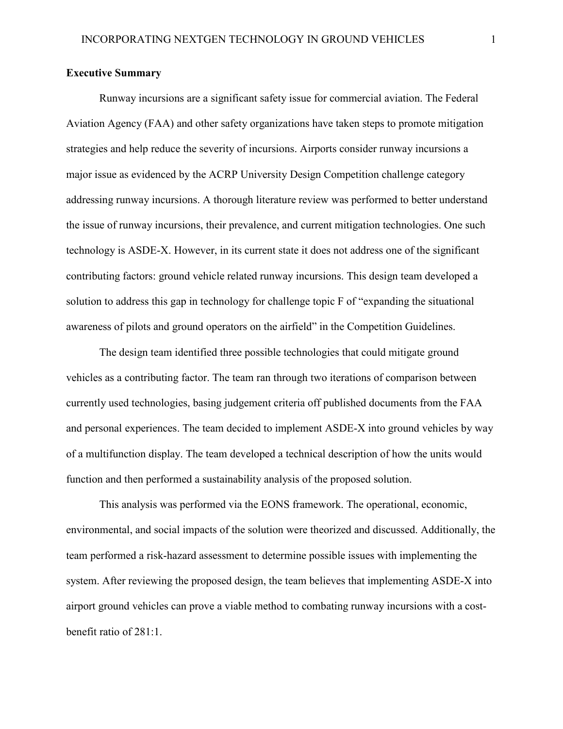### **Executive Summary**

Runway incursions are a significant safety issue for commercial aviation. The Federal Aviation Agency (FAA) and other safety organizations have taken steps to promote mitigation strategies and help reduce the severity of incursions. Airports consider runway incursions a major issue as evidenced by the ACRP University Design Competition challenge category addressing runway incursions. A thorough literature review was performed to better understand the issue of runway incursions, their prevalence, and current mitigation technologies. One such technology is ASDE-X. However, in its current state it does not address one of the significant contributing factors: ground vehicle related runway incursions. This design team developed a solution to address this gap in technology for challenge topic F of "expanding the situational awareness of pilots and ground operators on the airfield" in the Competition Guidelines.

The design team identified three possible technologies that could mitigate ground vehicles as a contributing factor. The team ran through two iterations of comparison between currently used technologies, basing judgement criteria off published documents from the FAA and personal experiences. The team decided to implement ASDE-X into ground vehicles by way of a multifunction display. The team developed a technical description of how the units would function and then performed a sustainability analysis of the proposed solution.

This analysis was performed via the EONS framework. The operational, economic, environmental, and social impacts of the solution were theorized and discussed. Additionally, the team performed a risk-hazard assessment to determine possible issues with implementing the system. After reviewing the proposed design, the team believes that implementing ASDE-X into airport ground vehicles can prove a viable method to combating runway incursions with a costbenefit ratio of 281:1.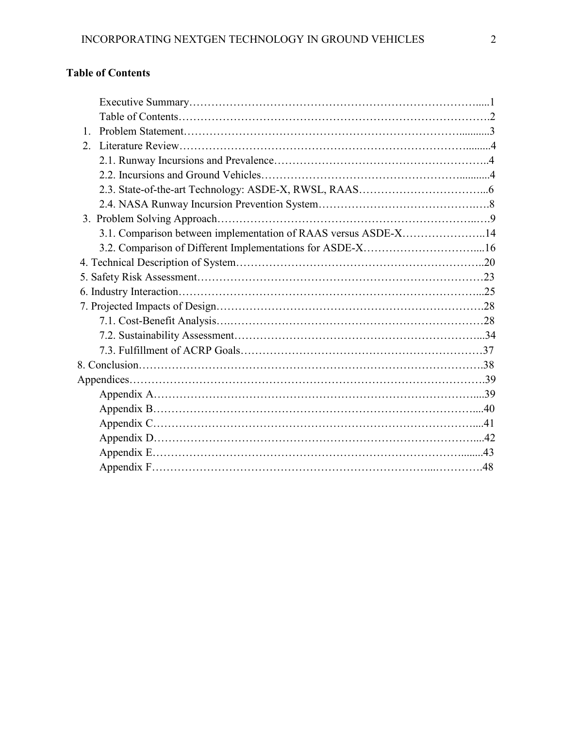## **Table of Contents**

| $1_{-}$                                                        |  |
|----------------------------------------------------------------|--|
| 2.                                                             |  |
|                                                                |  |
|                                                                |  |
|                                                                |  |
|                                                                |  |
|                                                                |  |
| 3.1. Comparison between implementation of RAAS versus ASDE-X14 |  |
| 3.2. Comparison of Different Implementations for ASDE-X16      |  |
|                                                                |  |
|                                                                |  |
|                                                                |  |
|                                                                |  |
|                                                                |  |
|                                                                |  |
|                                                                |  |
|                                                                |  |
|                                                                |  |
|                                                                |  |
|                                                                |  |
|                                                                |  |
|                                                                |  |
|                                                                |  |
|                                                                |  |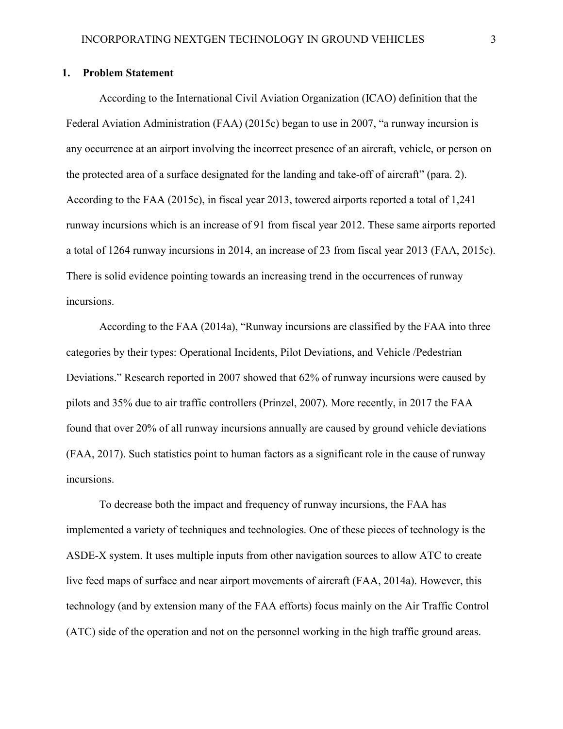### **1. Problem Statement**

According to the International Civil Aviation Organization (ICAO) definition that the Federal Aviation Administration (FAA) (2015c) began to use in 2007, "a runway incursion is any occurrence at an airport involving the incorrect presence of an aircraft, vehicle, or person on the protected area of a surface designated for the landing and take-off of aircraft" (para. 2). According to the FAA (2015c), in fiscal year 2013, towered airports reported a total of 1,241 runway incursions which is an increase of 91 from fiscal year 2012. These same airports reported a total of 1264 runway incursions in 2014, an increase of 23 from fiscal year 2013 (FAA, 2015c). There is solid evidence pointing towards an increasing trend in the occurrences of runway incursions.

According to the FAA (2014a), "Runway incursions are classified by the FAA into three categories by their types: Operational Incidents, Pilot Deviations, and Vehicle /Pedestrian Deviations." Research reported in 2007 showed that 62% of runway incursions were caused by pilots and 35% due to air traffic controllers (Prinzel, 2007). More recently, in 2017 the FAA found that over 20% of all runway incursions annually are caused by ground vehicle deviations (FAA, 2017). Such statistics point to human factors as a significant role in the cause of runway incursions.

To decrease both the impact and frequency of runway incursions, the FAA has implemented a variety of techniques and technologies. One of these pieces of technology is the ASDE-X system. It uses multiple inputs from other navigation sources to allow ATC to create live feed maps of surface and near airport movements of aircraft (FAA, 2014a). However, this technology (and by extension many of the FAA efforts) focus mainly on the Air Traffic Control (ATC) side of the operation and not on the personnel working in the high traffic ground areas.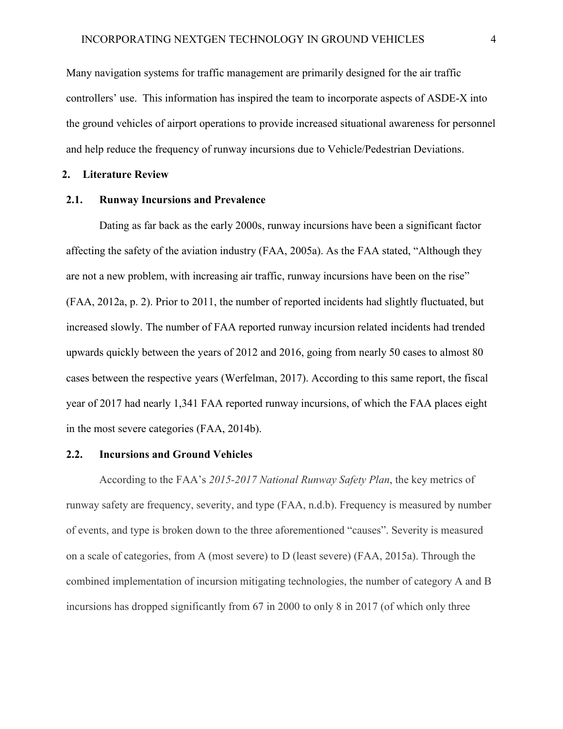Many navigation systems for traffic management are primarily designed for the air traffic controllers' use. This information has inspired the team to incorporate aspects of ASDE-X into the ground vehicles of airport operations to provide increased situational awareness for personnel and help reduce the frequency of runway incursions due to Vehicle/Pedestrian Deviations.

### **2. Literature Review**

### **2.1. Runway Incursions and Prevalence**

Dating as far back as the early 2000s, runway incursions have been a significant factor affecting the safety of the aviation industry (FAA, 2005a). As the FAA stated, "Although they are not a new problem, with increasing air traffic, runway incursions have been on the rise" (FAA, 2012a, p. 2). Prior to 2011, the number of reported incidents had slightly fluctuated, but increased slowly. The number of FAA reported runway incursion related incidents had trended upwards quickly between the years of 2012 and 2016, going from nearly 50 cases to almost 80 cases between the respective years (Werfelman, 2017). According to this same report, the fiscal year of 2017 had nearly 1,341 FAA reported runway incursions, of which the FAA places eight in the most severe categories (FAA, 2014b).

### **2.2. Incursions and Ground Vehicles**

According to the FAA's *2015-2017 National Runway Safety Plan*, the key metrics of runway safety are frequency, severity, and type (FAA, n.d.b). Frequency is measured by number of events, and type is broken down to the three aforementioned "causes". Severity is measured on a scale of categories, from A (most severe) to D (least severe) (FAA, 2015a). Through the combined implementation of incursion mitigating technologies, the number of category A and B incursions has dropped significantly from 67 in 2000 to only 8 in 2017 (of which only three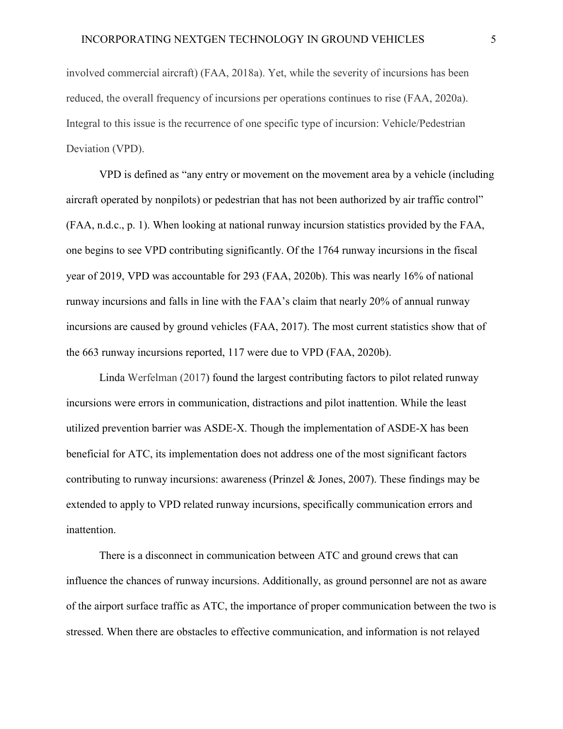involved commercial aircraft) (FAA, 2018a). Yet, while the severity of incursions has been reduced, the overall frequency of incursions per operations continues to rise (FAA, 2020a). Integral to this issue is the recurrence of one specific type of incursion: Vehicle/Pedestrian Deviation (VPD).

VPD is defined as "any entry or movement on the movement area by a vehicle (including aircraft operated by nonpilots) or pedestrian that has not been authorized by air traffic control" (FAA, n.d.c., p. 1). When looking at national runway incursion statistics provided by the FAA, one begins to see VPD contributing significantly. Of the 1764 runway incursions in the fiscal year of 2019, VPD was accountable for 293 (FAA, 2020b). This was nearly 16% of national runway incursions and falls in line with the FAA's claim that nearly 20% of annual runway incursions are caused by ground vehicles (FAA, 2017). The most current statistics show that of the 663 runway incursions reported, 117 were due to VPD (FAA, 2020b).

Linda Werfelman (2017) found the largest contributing factors to pilot related runway incursions were errors in communication, distractions and pilot inattention. While the least utilized prevention barrier was ASDE-X. Though the implementation of ASDE-X has been beneficial for ATC, its implementation does not address one of the most significant factors contributing to runway incursions: awareness (Prinzel & Jones, 2007). These findings may be extended to apply to VPD related runway incursions, specifically communication errors and inattention.

There is a disconnect in communication between ATC and ground crews that can influence the chances of runway incursions. Additionally, as ground personnel are not as aware of the airport surface traffic as ATC, the importance of proper communication between the two is stressed. When there are obstacles to effective communication, and information is not relayed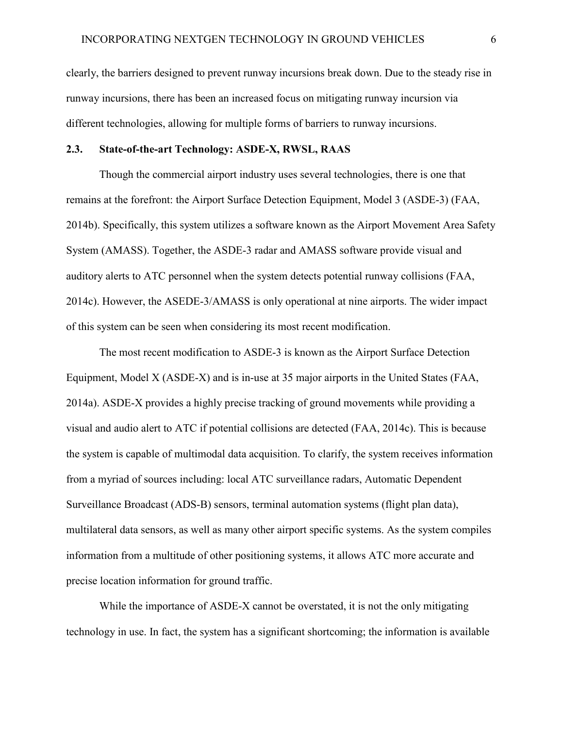clearly, the barriers designed to prevent runway incursions break down. Due to the steady rise in runway incursions, there has been an increased focus on mitigating runway incursion via different technologies, allowing for multiple forms of barriers to runway incursions.

### **2.3. State-of-the-art Technology: ASDE-X, RWSL, RAAS**

Though the commercial airport industry uses several technologies, there is one that remains at the forefront: the Airport Surface Detection Equipment, Model 3 (ASDE-3) (FAA, 2014b). Specifically, this system utilizes a software known as the Airport Movement Area Safety System (AMASS). Together, the ASDE-3 radar and AMASS software provide visual and auditory alerts to ATC personnel when the system detects potential runway collisions (FAA, 2014c). However, the ASEDE-3/AMASS is only operational at nine airports. The wider impact of this system can be seen when considering its most recent modification.

The most recent modification to ASDE-3 is known as the Airport Surface Detection Equipment, Model X (ASDE-X) and is in-use at 35 major airports in the United States (FAA, 2014a). ASDE-X provides a highly precise tracking of ground movements while providing a visual and audio alert to ATC if potential collisions are detected (FAA, 2014c). This is because the system is capable of multimodal data acquisition. To clarify, the system receives information from a myriad of sources including: local ATC surveillance radars, Automatic Dependent Surveillance Broadcast (ADS-B) sensors, terminal automation systems (flight plan data), multilateral data sensors, as well as many other airport specific systems. As the system compiles information from a multitude of other positioning systems, it allows ATC more accurate and precise location information for ground traffic.

While the importance of ASDE-X cannot be overstated, it is not the only mitigating technology in use. In fact, the system has a significant shortcoming; the information is available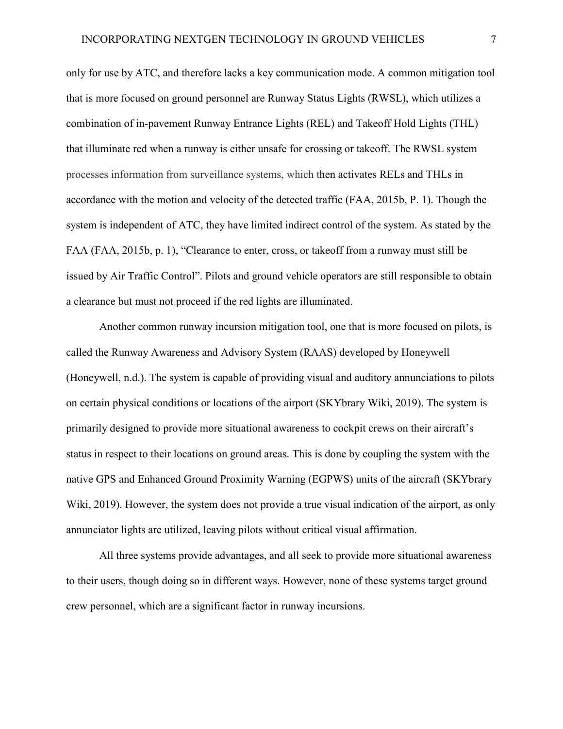only for use by ATC, and therefore lacks a key communication mode. A common mitigation tool that is more focused on ground personnel are Runway Status Lights (RWSL), which utilizes a combination of in-pavement Runway Entrance Lights (REL) and Takeoff Hold Lights (THL) that illuminate red when a runway is either unsafe for crossing or takeoff. The RWSL system processes information from surveillance systems, which then activates RELs and THLs in accordance with the motion and velocity of the detected traffic (FAA, 2015b, P. 1). Though the system is independent of ATC, they have limited indirect control of the system. As stated by the FAA (FAA, 2015b, p. 1), "Clearance to enter, cross, or takeoff from a runway must still be issued by Air Traffic Control". Pilots and ground vehicle operators are still responsible to obtain a clearance but must not proceed if the red lights are illuminated.

Another common runway incursion mitigation tool, one that is more focused on pilots, is called the Runway Awareness and Advisory System (RAAS) developed by Honeywell (Honeywell, n.d.). The system is capable of providing visual and auditory annunciations to pilots on certain physical conditions or locations of the airport (SKYbrary Wiki, 2019). The system is primarily designed to provide more situational awareness to cockpit crews on their aircraft's status in respect to their locations on ground areas. This is done by coupling the system with the native GPS and Enhanced Ground Proximity Warning (EGPWS) units of the aircraft (SKYbrary Wiki, 2019). However, the system does not provide a true visual indication of the airport, as only annunciator lights are utilized, leaving pilots without critical visual affirmation.

All three systems provide advantages, and all seek to provide more situational awareness to their users, though doing so in different ways. However, none of these systems target ground crew personnel, which are a significant factor in runway incursions.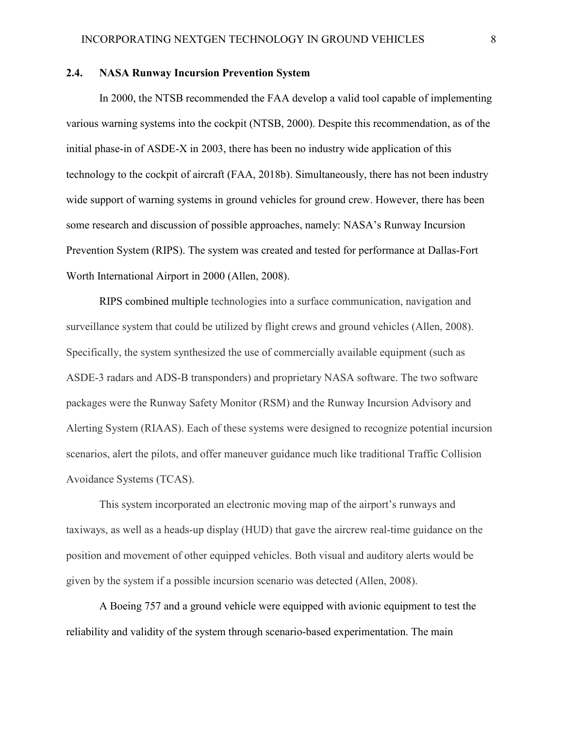### **2.4. NASA Runway Incursion Prevention System**

In 2000, the NTSB recommended the FAA develop a valid tool capable of implementing various warning systems into the cockpit (NTSB, 2000). Despite this recommendation, as of the initial phase-in of ASDE-X in 2003, there has been no industry wide application of this technology to the cockpit of aircraft (FAA, 2018b). Simultaneously, there has not been industry wide support of warning systems in ground vehicles for ground crew. However, there has been some research and discussion of possible approaches, namely: NASA's Runway Incursion Prevention System (RIPS). The system was created and tested for performance at Dallas-Fort Worth International Airport in 2000 (Allen, 2008).

RIPS combined multiple technologies into a surface communication, navigation and surveillance system that could be utilized by flight crews and ground vehicles (Allen, 2008). Specifically, the system synthesized the use of commercially available equipment (such as ASDE-3 radars and ADS-B transponders) and proprietary NASA software. The two software packages were the Runway Safety Monitor (RSM) and the Runway Incursion Advisory and Alerting System (RIAAS). Each of these systems were designed to recognize potential incursion scenarios, alert the pilots, and offer maneuver guidance much like traditional Traffic Collision Avoidance Systems (TCAS).

This system incorporated an electronic moving map of the airport's runways and taxiways, as well as a heads-up display (HUD) that gave the aircrew real-time guidance on the position and movement of other equipped vehicles. Both visual and auditory alerts would be given by the system if a possible incursion scenario was detected (Allen, 2008).

A Boeing 757 and a ground vehicle were equipped with avionic equipment to test the reliability and validity of the system through scenario-based experimentation. The main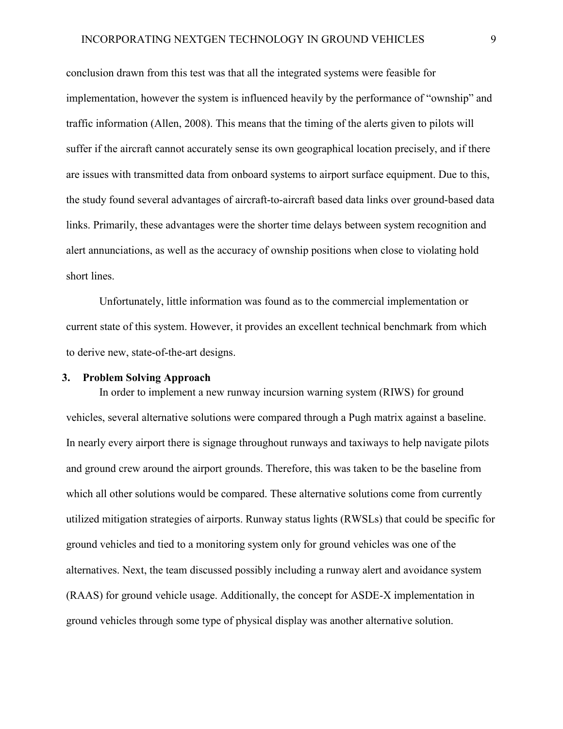conclusion drawn from this test was that all the integrated systems were feasible for implementation, however the system is influenced heavily by the performance of "ownship" and traffic information (Allen, 2008). This means that the timing of the alerts given to pilots will suffer if the aircraft cannot accurately sense its own geographical location precisely, and if there are issues with transmitted data from onboard systems to airport surface equipment. Due to this, the study found several advantages of aircraft-to-aircraft based data links over ground-based data links. Primarily, these advantages were the shorter time delays between system recognition and alert annunciations, as well as the accuracy of ownship positions when close to violating hold short lines.

Unfortunately, little information was found as to the commercial implementation or current state of this system. However, it provides an excellent technical benchmark from which to derive new, state-of-the-art designs.

### **3. Problem Solving Approach**

In order to implement a new runway incursion warning system (RIWS) for ground vehicles, several alternative solutions were compared through a Pugh matrix against a baseline. In nearly every airport there is signage throughout runways and taxiways to help navigate pilots and ground crew around the airport grounds. Therefore, this was taken to be the baseline from which all other solutions would be compared. These alternative solutions come from currently utilized mitigation strategies of airports. Runway status lights (RWSLs) that could be specific for ground vehicles and tied to a monitoring system only for ground vehicles was one of the alternatives. Next, the team discussed possibly including a runway alert and avoidance system (RAAS) for ground vehicle usage. Additionally, the concept for ASDE-X implementation in ground vehicles through some type of physical display was another alternative solution.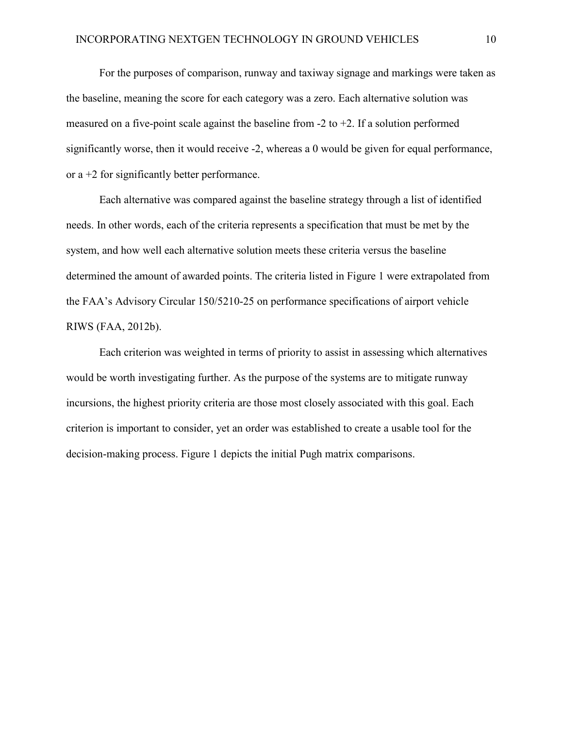For the purposes of comparison, runway and taxiway signage and markings were taken as the baseline, meaning the score for each category was a zero. Each alternative solution was measured on a five-point scale against the baseline from  $-2$  to  $+2$ . If a solution performed significantly worse, then it would receive -2, whereas a 0 would be given for equal performance, or  $a + 2$  for significantly better performance.

Each alternative was compared against the baseline strategy through a list of identified needs. In other words, each of the criteria represents a specification that must be met by the system, and how well each alternative solution meets these criteria versus the baseline determined the amount of awarded points. The criteria listed in Figure 1 were extrapolated from the FAA's Advisory Circular 150/5210-25 on performance specifications of airport vehicle RIWS (FAA, 2012b).

Each criterion was weighted in terms of priority to assist in assessing which alternatives would be worth investigating further. As the purpose of the systems are to mitigate runway incursions, the highest priority criteria are those most closely associated with this goal. Each criterion is important to consider, yet an order was established to create a usable tool for the decision-making process. Figure 1 depicts the initial Pugh matrix comparisons.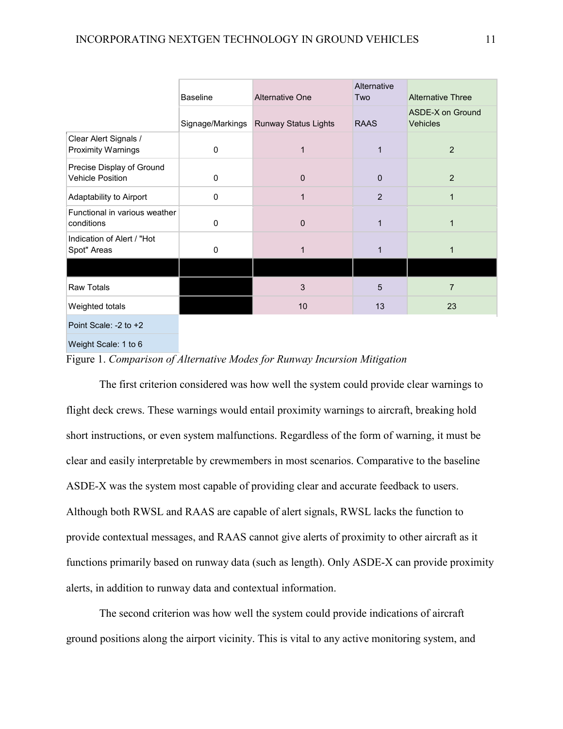|                                                      | <b>Baseline</b>  | <b>Alternative One</b>      | Alternative<br>Two | <b>Alternative Three</b>                   |
|------------------------------------------------------|------------------|-----------------------------|--------------------|--------------------------------------------|
|                                                      | Signage/Markings | <b>Runway Status Lights</b> | <b>RAAS</b>        | <b>ASDE-X on Ground</b><br><b>Vehicles</b> |
| Clear Alert Signals /<br><b>Proximity Warnings</b>   | $\mathbf 0$      | 1                           | $\mathbf{1}$       | 2                                          |
| Precise Display of Ground<br><b>Vehicle Position</b> | 0                | $\mathbf{0}$                | $\mathbf 0$        | 2                                          |
| Adaptability to Airport                              | $\mathbf 0$      | 1                           | $\overline{2}$     |                                            |
| Functional in various weather<br>conditions          | 0                | $\Omega$                    | $\mathbf{1}$       |                                            |
| Indication of Alert / "Hot<br>Spot" Areas            | 0                | 1                           | $\mathbf 1$        |                                            |
|                                                      |                  |                             |                    |                                            |
| <b>Raw Totals</b>                                    |                  | 3                           | 5                  | 7                                          |
| Weighted totals                                      |                  | 10                          | 13                 | 23                                         |
| Point Scale: -2 to +2                                |                  |                             |                    |                                            |

Weight Scale: 1 to 6

Figure 1. *Comparison of Alternative Modes for Runway Incursion Mitigation*

The first criterion considered was how well the system could provide clear warnings to flight deck crews. These warnings would entail proximity warnings to aircraft, breaking hold short instructions, or even system malfunctions. Regardless of the form of warning, it must be clear and easily interpretable by crewmembers in most scenarios. Comparative to the baseline ASDE-X was the system most capable of providing clear and accurate feedback to users. Although both RWSL and RAAS are capable of alert signals, RWSL lacks the function to provide contextual messages, and RAAS cannot give alerts of proximity to other aircraft as it functions primarily based on runway data (such as length). Only ASDE-X can provide proximity alerts, in addition to runway data and contextual information.

The second criterion was how well the system could provide indications of aircraft ground positions along the airport vicinity. This is vital to any active monitoring system, and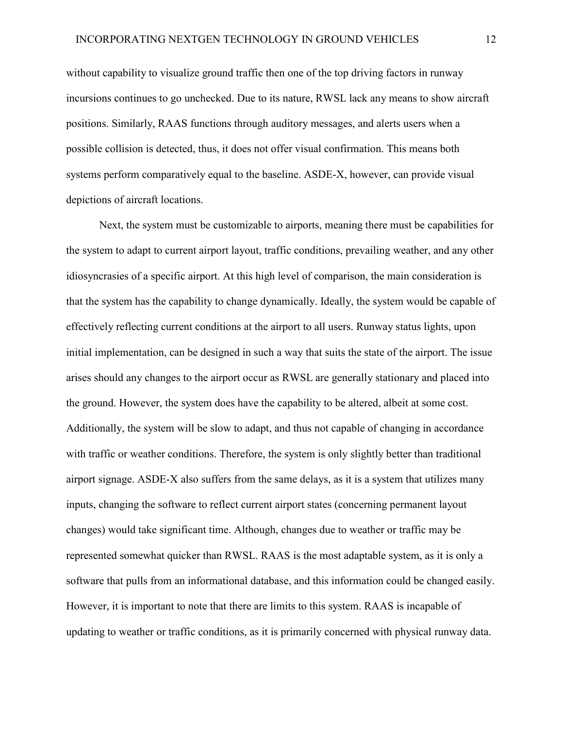without capability to visualize ground traffic then one of the top driving factors in runway incursions continues to go unchecked. Due to its nature, RWSL lack any means to show aircraft positions. Similarly, RAAS functions through auditory messages, and alerts users when a possible collision is detected, thus, it does not offer visual confirmation. This means both systems perform comparatively equal to the baseline. ASDE-X, however, can provide visual depictions of aircraft locations.

Next, the system must be customizable to airports, meaning there must be capabilities for the system to adapt to current airport layout, traffic conditions, prevailing weather, and any other idiosyncrasies of a specific airport. At this high level of comparison, the main consideration is that the system has the capability to change dynamically. Ideally, the system would be capable of effectively reflecting current conditions at the airport to all users. Runway status lights, upon initial implementation, can be designed in such a way that suits the state of the airport. The issue arises should any changes to the airport occur as RWSL are generally stationary and placed into the ground. However, the system does have the capability to be altered, albeit at some cost. Additionally, the system will be slow to adapt, and thus not capable of changing in accordance with traffic or weather conditions. Therefore, the system is only slightly better than traditional airport signage. ASDE-X also suffers from the same delays, as it is a system that utilizes many inputs, changing the software to reflect current airport states (concerning permanent layout changes) would take significant time. Although, changes due to weather or traffic may be represented somewhat quicker than RWSL. RAAS is the most adaptable system, as it is only a software that pulls from an informational database, and this information could be changed easily. However, it is important to note that there are limits to this system. RAAS is incapable of updating to weather or traffic conditions, as it is primarily concerned with physical runway data.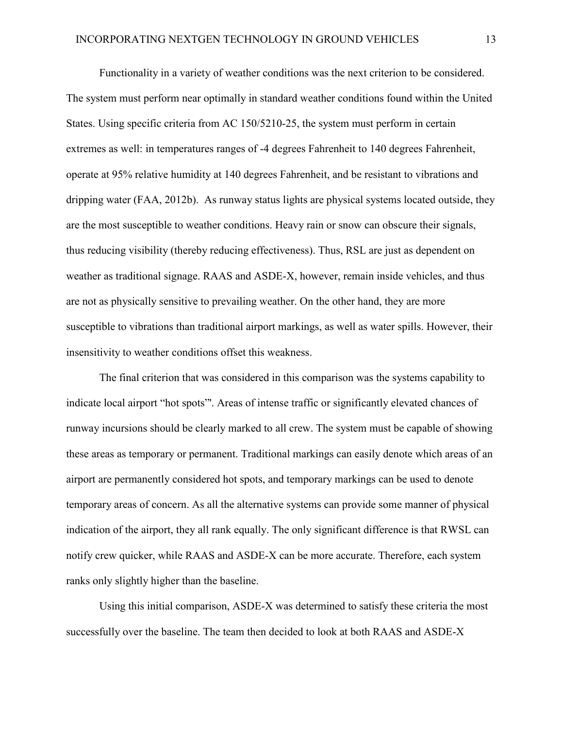Functionality in a variety of weather conditions was the next criterion to be considered. The system must perform near optimally in standard weather conditions found within the United States. Using specific criteria from AC 150/5210-25, the system must perform in certain extremes as well: in temperatures ranges of -4 degrees Fahrenheit to 140 degrees Fahrenheit, operate at 95% relative humidity at 140 degrees Fahrenheit, and be resistant to vibrations and dripping water (FAA, 2012b). As runway status lights are physical systems located outside, they are the most susceptible to weather conditions. Heavy rain or snow can obscure their signals, thus reducing visibility (thereby reducing effectiveness). Thus, RSL are just as dependent on weather as traditional signage. RAAS and ASDE-X, however, remain inside vehicles, and thus are not as physically sensitive to prevailing weather. On the other hand, they are more susceptible to vibrations than traditional airport markings, as well as water spills. However, their insensitivity to weather conditions offset this weakness.

The final criterion that was considered in this comparison was the systems capability to indicate local airport "hot spots"'. Areas of intense traffic or significantly elevated chances of runway incursions should be clearly marked to all crew. The system must be capable of showing these areas as temporary or permanent. Traditional markings can easily denote which areas of an airport are permanently considered hot spots, and temporary markings can be used to denote temporary areas of concern. As all the alternative systems can provide some manner of physical indication of the airport, they all rank equally. The only significant difference is that RWSL can notify crew quicker, while RAAS and ASDE-X can be more accurate. Therefore, each system ranks only slightly higher than the baseline.

Using this initial comparison, ASDE-X was determined to satisfy these criteria the most successfully over the baseline. The team then decided to look at both RAAS and ASDE-X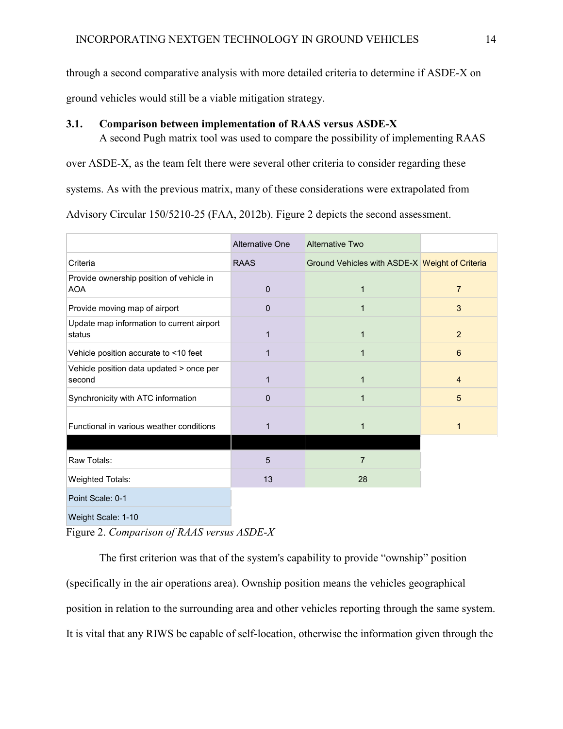through a second comparative analysis with more detailed criteria to determine if ASDE-X on

ground vehicles would still be a viable mitigation strategy.

### **3.1. Comparison between implementation of RAAS versus ASDE-X**

A second Pugh matrix tool was used to compare the possibility of implementing RAAS over ASDE-X, as the team felt there were several other criteria to consider regarding these systems. As with the previous matrix, many of these considerations were extrapolated from Advisory Circular 150/5210-25 (FAA, 2012b). Figure 2 depicts the second assessment.

|                                                        | <b>Alternative One</b> | <b>Alternative Two</b>                         |                  |
|--------------------------------------------------------|------------------------|------------------------------------------------|------------------|
| Criteria                                               | <b>RAAS</b>            | Ground Vehicles with ASDE-X Weight of Criteria |                  |
| Provide ownership position of vehicle in<br><b>AOA</b> | $\mathbf{0}$           | $\mathbf{1}$                                   | $\overline{7}$   |
| Provide moving map of airport                          | $\mathbf{0}$           | $\mathbf{1}$                                   | 3                |
| Update map information to current airport<br>status    | 1                      | 1                                              | 2                |
| Vehicle position accurate to <10 feet                  | $\mathbf{1}$           | $\mathbf{1}$                                   | $\boldsymbol{6}$ |
| Vehicle position data updated > once per<br>second     | $\mathbf{1}$           | $\mathbf{1}$                                   | $\overline{4}$   |
| Synchronicity with ATC information                     | $\Omega$               | $\mathbf{1}$                                   | 5                |
| Functional in various weather conditions               | 1                      | $\mathbf{1}$                                   | 1                |
|                                                        |                        |                                                |                  |
| Raw Totals:                                            | 5                      | $\overline{7}$                                 |                  |
| Weighted Totals:                                       | 13                     | 28                                             |                  |
| Point Scale: 0-1                                       |                        |                                                |                  |
| Weight Scale: 1-10                                     |                        |                                                |                  |

Figure 2. *Comparison of RAAS versus ASDE-X*

The first criterion was that of the system's capability to provide "ownship" position (specifically in the air operations area). Ownship position means the vehicles geographical position in relation to the surrounding area and other vehicles reporting through the same system. It is vital that any RIWS be capable of self-location, otherwise the information given through the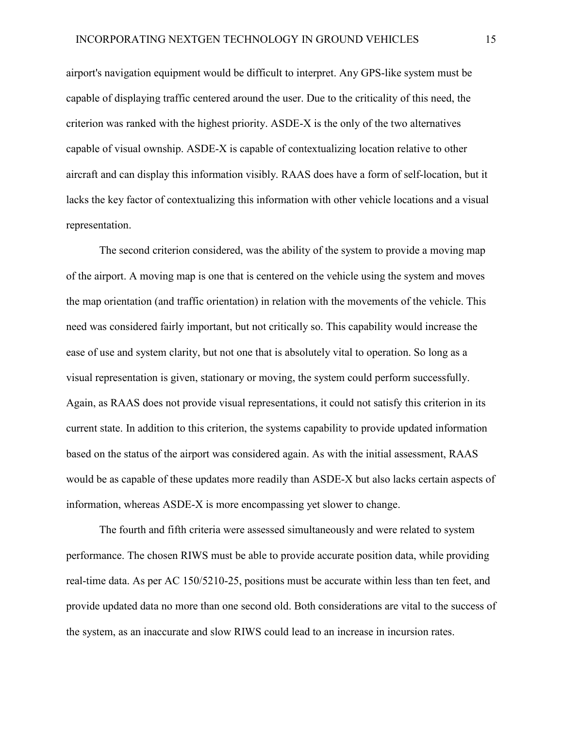airport's navigation equipment would be difficult to interpret. Any GPS-like system must be capable of displaying traffic centered around the user. Due to the criticality of this need, the criterion was ranked with the highest priority. ASDE-X is the only of the two alternatives capable of visual ownship. ASDE-X is capable of contextualizing location relative to other aircraft and can display this information visibly. RAAS does have a form of self-location, but it lacks the key factor of contextualizing this information with other vehicle locations and a visual representation.

The second criterion considered, was the ability of the system to provide a moving map of the airport. A moving map is one that is centered on the vehicle using the system and moves the map orientation (and traffic orientation) in relation with the movements of the vehicle. This need was considered fairly important, but not critically so. This capability would increase the ease of use and system clarity, but not one that is absolutely vital to operation. So long as a visual representation is given, stationary or moving, the system could perform successfully. Again, as RAAS does not provide visual representations, it could not satisfy this criterion in its current state. In addition to this criterion, the systems capability to provide updated information based on the status of the airport was considered again. As with the initial assessment, RAAS would be as capable of these updates more readily than ASDE-X but also lacks certain aspects of information, whereas ASDE-X is more encompassing yet slower to change.

The fourth and fifth criteria were assessed simultaneously and were related to system performance. The chosen RIWS must be able to provide accurate position data, while providing real-time data. As per AC 150/5210-25, positions must be accurate within less than ten feet, and provide updated data no more than one second old. Both considerations are vital to the success of the system, as an inaccurate and slow RIWS could lead to an increase in incursion rates.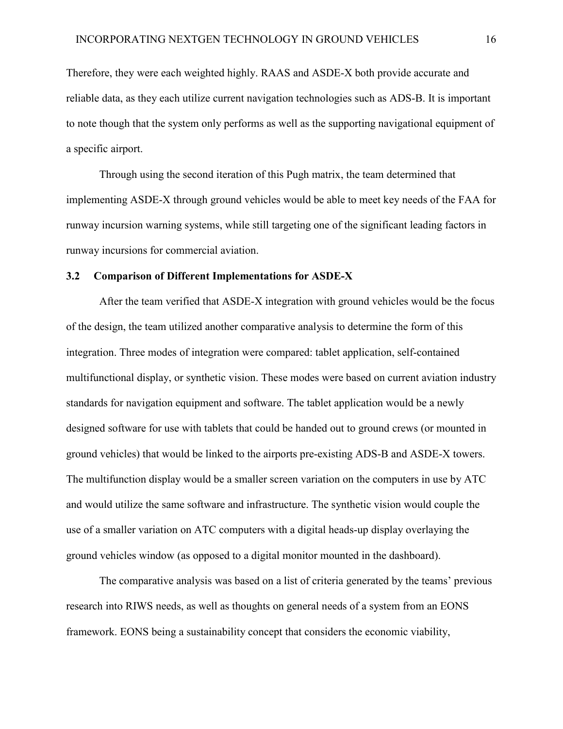Therefore, they were each weighted highly. RAAS and ASDE-X both provide accurate and reliable data, as they each utilize current navigation technologies such as ADS-B. It is important to note though that the system only performs as well as the supporting navigational equipment of a specific airport.

Through using the second iteration of this Pugh matrix, the team determined that implementing ASDE-X through ground vehicles would be able to meet key needs of the FAA for runway incursion warning systems, while still targeting one of the significant leading factors in runway incursions for commercial aviation.

#### **3.2 Comparison of Different Implementations for ASDE-X**

After the team verified that ASDE-X integration with ground vehicles would be the focus of the design, the team utilized another comparative analysis to determine the form of this integration. Three modes of integration were compared: tablet application, self-contained multifunctional display, or synthetic vision. These modes were based on current aviation industry standards for navigation equipment and software. The tablet application would be a newly designed software for use with tablets that could be handed out to ground crews (or mounted in ground vehicles) that would be linked to the airports pre-existing ADS-B and ASDE-X towers. The multifunction display would be a smaller screen variation on the computers in use by ATC and would utilize the same software and infrastructure. The synthetic vision would couple the use of a smaller variation on ATC computers with a digital heads-up display overlaying the ground vehicles window (as opposed to a digital monitor mounted in the dashboard).

The comparative analysis was based on a list of criteria generated by the teams' previous research into RIWS needs, as well as thoughts on general needs of a system from an EONS framework. EONS being a sustainability concept that considers the economic viability,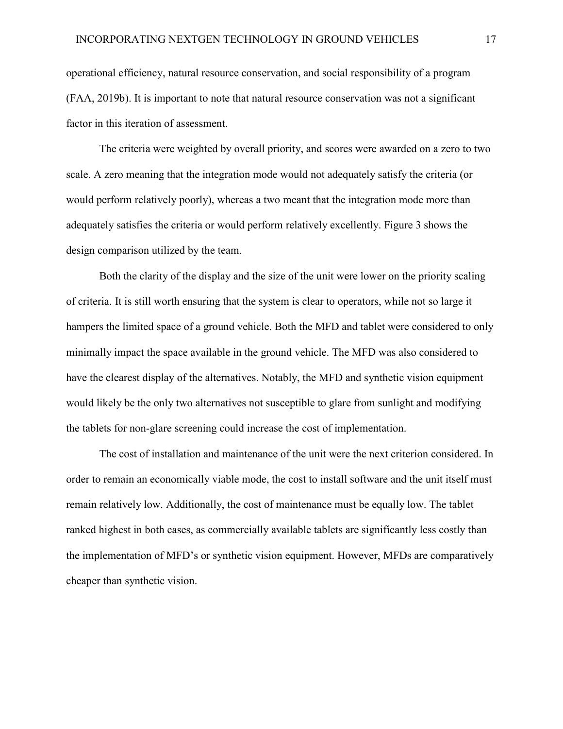operational efficiency, natural resource conservation, and social responsibility of a program (FAA, 2019b). It is important to note that natural resource conservation was not a significant factor in this iteration of assessment.

The criteria were weighted by overall priority, and scores were awarded on a zero to two scale. A zero meaning that the integration mode would not adequately satisfy the criteria (or would perform relatively poorly), whereas a two meant that the integration mode more than adequately satisfies the criteria or would perform relatively excellently. Figure 3 shows the design comparison utilized by the team.

Both the clarity of the display and the size of the unit were lower on the priority scaling of criteria. It is still worth ensuring that the system is clear to operators, while not so large it hampers the limited space of a ground vehicle. Both the MFD and tablet were considered to only minimally impact the space available in the ground vehicle. The MFD was also considered to have the clearest display of the alternatives. Notably, the MFD and synthetic vision equipment would likely be the only two alternatives not susceptible to glare from sunlight and modifying the tablets for non-glare screening could increase the cost of implementation.

The cost of installation and maintenance of the unit were the next criterion considered. In order to remain an economically viable mode, the cost to install software and the unit itself must remain relatively low. Additionally, the cost of maintenance must be equally low. The tablet ranked highest in both cases, as commercially available tablets are significantly less costly than the implementation of MFD's or synthetic vision equipment. However, MFDs are comparatively cheaper than synthetic vision.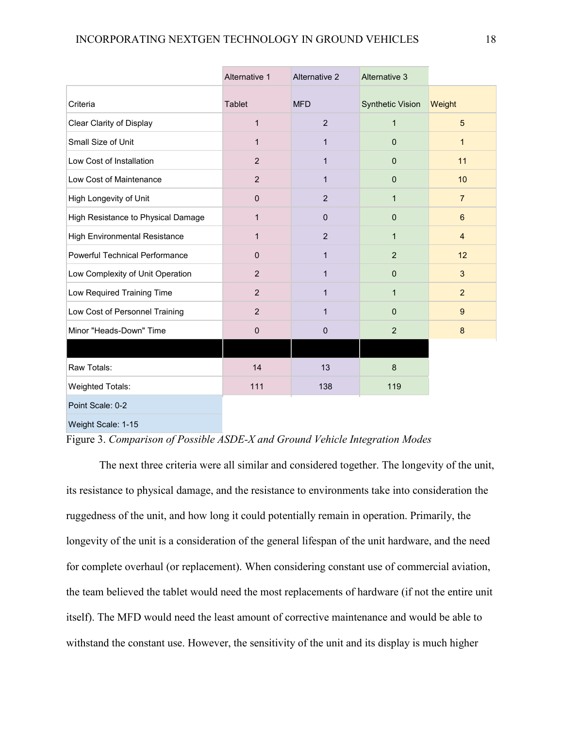|                                       | Alternative 1  | <b>Alternative 2</b> | <b>Alternative 3</b>    |                |
|---------------------------------------|----------------|----------------------|-------------------------|----------------|
| Criteria                              | Tablet         | <b>MFD</b>           | <b>Synthetic Vision</b> | Weight         |
| <b>Clear Clarity of Display</b>       | $\mathbf{1}$   | $\overline{2}$       | $\mathbf{1}$            | 5              |
| Small Size of Unit                    | $\mathbf{1}$   | $\mathbf{1}$         | $\mathbf{0}$            | $\mathbf{1}$   |
| Low Cost of Installation              | $\overline{2}$ | $\mathbf{1}$         | $\pmb{0}$               | 11             |
| Low Cost of Maintenance               | $\overline{2}$ | $\mathbf{1}$         | $\mathbf{0}$            | 10             |
| High Longevity of Unit                | $\mathbf{0}$   | $\overline{2}$       | $\mathbf{1}$            | $\overline{7}$ |
| High Resistance to Physical Damage    | $\mathbf{1}$   | $\mathbf{0}$         | $\mathbf{0}$            | 6              |
| <b>High Environmental Resistance</b>  | $\mathbf{1}$   | 2                    | $\mathbf{1}$            | $\overline{4}$ |
| <b>Powerful Technical Performance</b> | $\mathbf{0}$   | $\mathbf{1}$         | $\overline{2}$          | 12             |
| Low Complexity of Unit Operation      | $\overline{2}$ | $\mathbf{1}$         | $\mathbf{0}$            | 3              |
| Low Required Training Time            | $\overline{2}$ | $\mathbf{1}$         | $\mathbf 1$             | $\overline{2}$ |
| Low Cost of Personnel Training        | $\overline{2}$ | $\mathbf{1}$         | $\mathbf{0}$            | 9              |
| Minor "Heads-Down" Time               | $\pmb{0}$      | $\pmb{0}$            | $\overline{c}$          | 8              |
|                                       |                |                      |                         |                |
| Raw Totals:                           | 14             | 13                   | 8                       |                |
| <b>Weighted Totals:</b>               | 111            | 138                  | 119                     |                |
| Point Scale: 0-2                      |                |                      |                         |                |

Weight Scale: 1-15

### Figure 3. *Comparison of Possible ASDE-X and Ground Vehicle Integration Modes*

The next three criteria were all similar and considered together. The longevity of the unit, its resistance to physical damage, and the resistance to environments take into consideration the ruggedness of the unit, and how long it could potentially remain in operation. Primarily, the longevity of the unit is a consideration of the general lifespan of the unit hardware, and the need for complete overhaul (or replacement). When considering constant use of commercial aviation, the team believed the tablet would need the most replacements of hardware (if not the entire unit itself). The MFD would need the least amount of corrective maintenance and would be able to withstand the constant use. However, the sensitivity of the unit and its display is much higher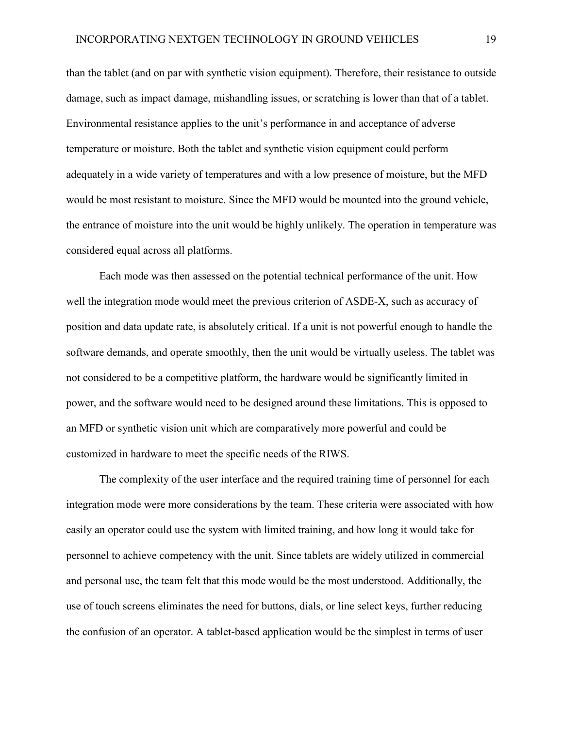than the tablet (and on par with synthetic vision equipment). Therefore, their resistance to outside damage, such as impact damage, mishandling issues, or scratching is lower than that of a tablet. Environmental resistance applies to the unit's performance in and acceptance of adverse temperature or moisture. Both the tablet and synthetic vision equipment could perform adequately in a wide variety of temperatures and with a low presence of moisture, but the MFD would be most resistant to moisture. Since the MFD would be mounted into the ground vehicle, the entrance of moisture into the unit would be highly unlikely. The operation in temperature was considered equal across all platforms.

Each mode was then assessed on the potential technical performance of the unit. How well the integration mode would meet the previous criterion of ASDE-X, such as accuracy of position and data update rate, is absolutely critical. If a unit is not powerful enough to handle the software demands, and operate smoothly, then the unit would be virtually useless. The tablet was not considered to be a competitive platform, the hardware would be significantly limited in power, and the software would need to be designed around these limitations. This is opposed to an MFD or synthetic vision unit which are comparatively more powerful and could be customized in hardware to meet the specific needs of the RIWS.

The complexity of the user interface and the required training time of personnel for each integration mode were more considerations by the team. These criteria were associated with how easily an operator could use the system with limited training, and how long it would take for personnel to achieve competency with the unit. Since tablets are widely utilized in commercial and personal use, the team felt that this mode would be the most understood. Additionally, the use of touch screens eliminates the need for buttons, dials, or line select keys, further reducing the confusion of an operator. A tablet-based application would be the simplest in terms of user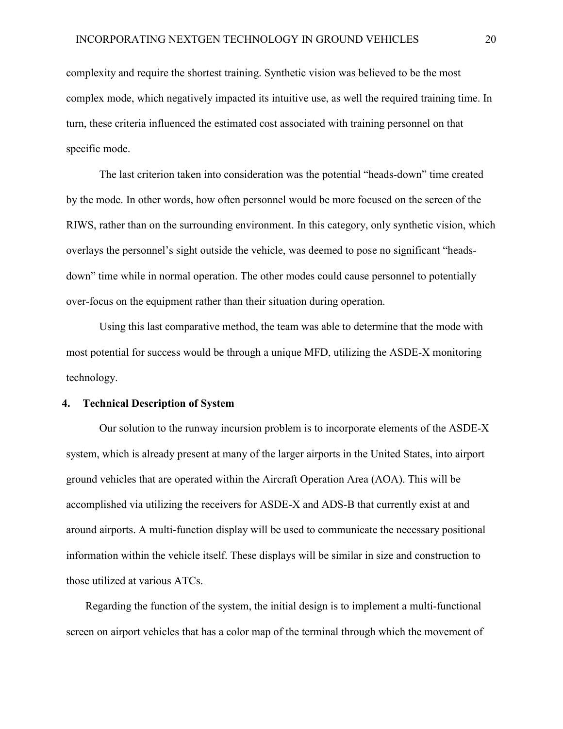complexity and require the shortest training. Synthetic vision was believed to be the most complex mode, which negatively impacted its intuitive use, as well the required training time. In turn, these criteria influenced the estimated cost associated with training personnel on that specific mode.

The last criterion taken into consideration was the potential "heads-down" time created by the mode. In other words, how often personnel would be more focused on the screen of the RIWS, rather than on the surrounding environment. In this category, only synthetic vision, which overlays the personnel's sight outside the vehicle, was deemed to pose no significant "headsdown" time while in normal operation. The other modes could cause personnel to potentially over-focus on the equipment rather than their situation during operation.

Using this last comparative method, the team was able to determine that the mode with most potential for success would be through a unique MFD, utilizing the ASDE-X monitoring technology.

#### **4. Technical Description of System**

Our solution to the runway incursion problem is to incorporate elements of the ASDE-X system, which is already present at many of the larger airports in the United States, into airport ground vehicles that are operated within the Aircraft Operation Area (AOA). This will be accomplished via utilizing the receivers for ASDE-X and ADS-B that currently exist at and around airports. A multi-function display will be used to communicate the necessary positional information within the vehicle itself. These displays will be similar in size and construction to those utilized at various ATCs.

Regarding the function of the system, the initial design is to implement a multi-functional screen on airport vehicles that has a color map of the terminal through which the movement of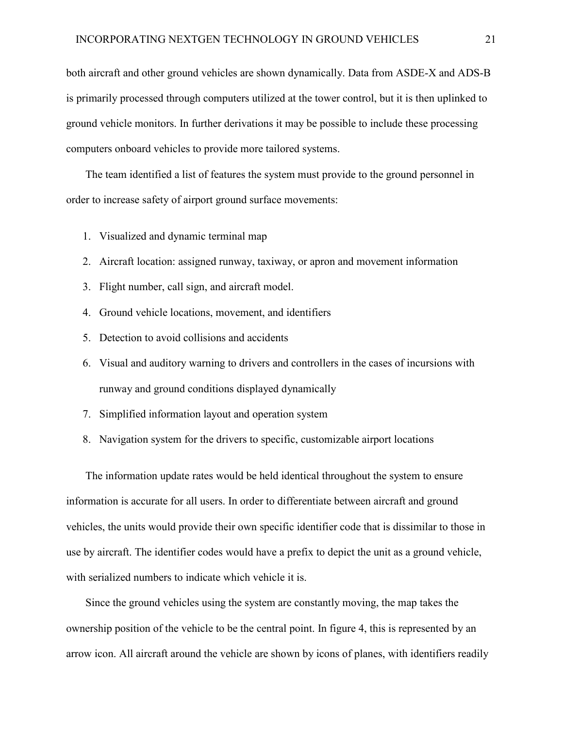both aircraft and other ground vehicles are shown dynamically. Data from ASDE-X and ADS-B is primarily processed through computers utilized at the tower control, but it is then uplinked to ground vehicle monitors. In further derivations it may be possible to include these processing computers onboard vehicles to provide more tailored systems.

The team identified a list of features the system must provide to the ground personnel in order to increase safety of airport ground surface movements:

- 1. Visualized and dynamic terminal map
- 2. Aircraft location: assigned runway, taxiway, or apron and movement information
- 3. Flight number, call sign, and aircraft model.
- 4. Ground vehicle locations, movement, and identifiers
- 5. Detection to avoid collisions and accidents
- 6. Visual and auditory warning to drivers and controllers in the cases of incursions with runway and ground conditions displayed dynamically
- 7. Simplified information layout and operation system
- 8. Navigation system for the drivers to specific, customizable airport locations

The information update rates would be held identical throughout the system to ensure information is accurate for all users. In order to differentiate between aircraft and ground vehicles, the units would provide their own specific identifier code that is dissimilar to those in use by aircraft. The identifier codes would have a prefix to depict the unit as a ground vehicle, with serialized numbers to indicate which vehicle it is.

Since the ground vehicles using the system are constantly moving, the map takes the ownership position of the vehicle to be the central point. In figure 4, this is represented by an arrow icon. All aircraft around the vehicle are shown by icons of planes, with identifiers readily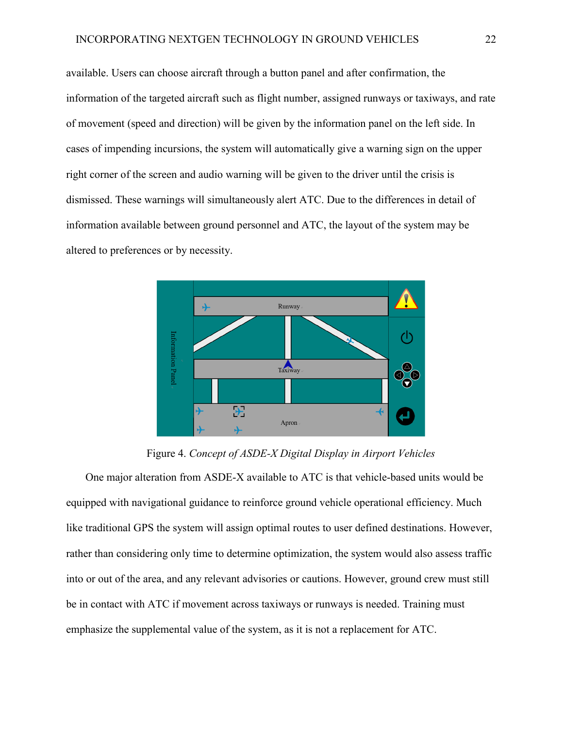available. Users can choose aircraft through a button panel and after confirmation, the information of the targeted aircraft such as flight number, assigned runways or taxiways, and rate of movement (speed and direction) will be given by the information panel on the left side. In cases of impending incursions, the system will automatically give a warning sign on the upper right corner of the screen and audio warning will be given to the driver until the crisis is dismissed. These warnings will simultaneously alert ATC. Due to the differences in detail of information available between ground personnel and ATC, the layout of the system may be altered to preferences or by necessity.



Figure 4. *Concept of ASDE-X Digital Display in Airport Vehicles*

One major alteration from ASDE-X available to ATC is that vehicle-based units would be equipped with navigational guidance to reinforce ground vehicle operational efficiency. Much like traditional GPS the system will assign optimal routes to user defined destinations. However, rather than considering only time to determine optimization, the system would also assess traffic into or out of the area, and any relevant advisories or cautions. However, ground crew must still be in contact with ATC if movement across taxiways or runways is needed. Training must emphasize the supplemental value of the system, as it is not a replacement for ATC.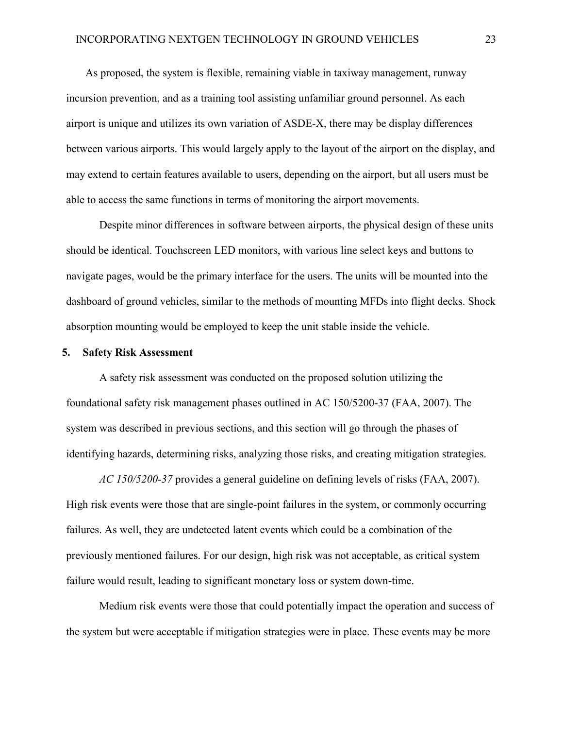As proposed, the system is flexible, remaining viable in taxiway management, runway incursion prevention, and as a training tool assisting unfamiliar ground personnel. As each airport is unique and utilizes its own variation of ASDE-X, there may be display differences between various airports. This would largely apply to the layout of the airport on the display, and may extend to certain features available to users, depending on the airport, but all users must be able to access the same functions in terms of monitoring the airport movements.

Despite minor differences in software between airports, the physical design of these units should be identical. Touchscreen LED monitors, with various line select keys and buttons to navigate pages, would be the primary interface for the users. The units will be mounted into the dashboard of ground vehicles, similar to the methods of mounting MFDs into flight decks. Shock absorption mounting would be employed to keep the unit stable inside the vehicle.

### **5. Safety Risk Assessment**

A safety risk assessment was conducted on the proposed solution utilizing the foundational safety risk management phases outlined in AC 150/5200-37 (FAA, 2007). The system was described in previous sections, and this section will go through the phases of identifying hazards, determining risks, analyzing those risks, and creating mitigation strategies.

*AC 150/5200-37* provides a general guideline on defining levels of risks (FAA, 2007). High risk events were those that are single-point failures in the system, or commonly occurring failures. As well, they are undetected latent events which could be a combination of the previously mentioned failures. For our design, high risk was not acceptable, as critical system failure would result, leading to significant monetary loss or system down-time.

Medium risk events were those that could potentially impact the operation and success of the system but were acceptable if mitigation strategies were in place. These events may be more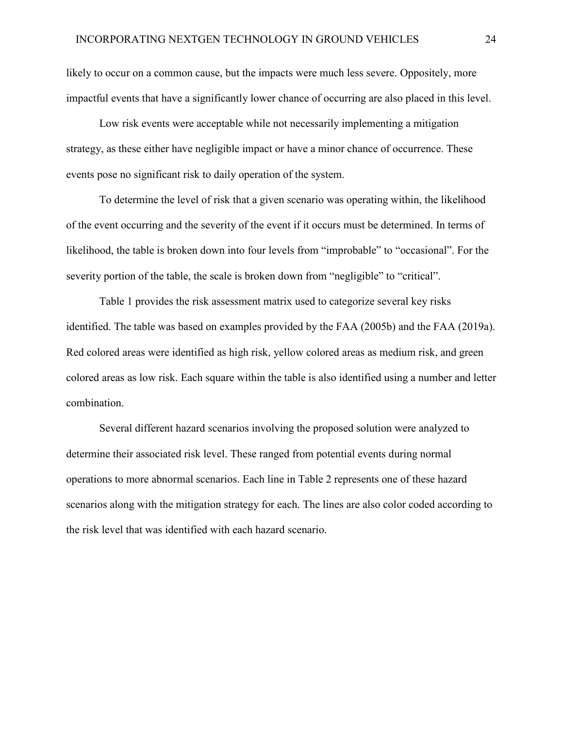likely to occur on a common cause, but the impacts were much less severe. Oppositely, more impactful events that have a significantly lower chance of occurring are also placed in this level.

Low risk events were acceptable while not necessarily implementing a mitigation strategy, as these either have negligible impact or have a minor chance of occurrence. These events pose no significant risk to daily operation of the system.

To determine the level of risk that a given scenario was operating within, the likelihood of the event occurring and the severity of the event if it occurs must be determined. In terms of likelihood, the table is broken down into four levels from "improbable" to "occasional". For the severity portion of the table, the scale is broken down from "negligible" to "critical".

Table 1 provides the risk assessment matrix used to categorize several key risks identified. The table was based on examples provided by the FAA (2005b) and the FAA (2019a). Red colored areas were identified as high risk, yellow colored areas as medium risk, and green colored areas as low risk. Each square within the table is also identified using a number and letter combination.

Several different hazard scenarios involving the proposed solution were analyzed to determine their associated risk level. These ranged from potential events during normal operations to more abnormal scenarios. Each line in Table 2 represents one of these hazard scenarios along with the mitigation strategy for each. The lines are also color coded according to the risk level that was identified with each hazard scenario.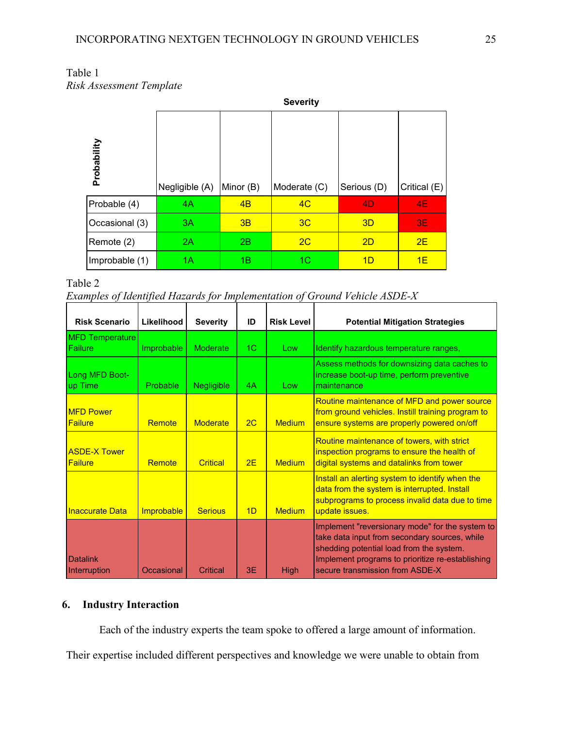|                |                | <b>Severity</b> |              |             |              |  |  |  |  |
|----------------|----------------|-----------------|--------------|-------------|--------------|--|--|--|--|
| Probability    | Negligible (A) | Minor (B)       | Moderate (C) | Serious (D) | Critical (E) |  |  |  |  |
| Probable (4)   | 4A             | 4B              | 4C           | 4D          | <b>4E</b>    |  |  |  |  |
| Occasional (3) | 3A             | 3B              | 3C           | 3D          | 3E           |  |  |  |  |
| Remote (2)     | 2A             | 2B              | 2C           | 2D          | 2E           |  |  |  |  |
| Improbable (1) | 1A             | 1B              | 1C           | 1D          | 1E           |  |  |  |  |

| Table 1                  |  |
|--------------------------|--|
| Risk Assessment Template |  |

Table 2 *Examples of Identified Hazards for Implementation of Ground Vehicle ASDE-X*

| <b>Risk Scenario</b>                  | Likelihood        | <b>Severity</b>   | ID             | <b>Risk Level</b> | <b>Potential Mitigation Strategies</b>                                                                                                                                                                                              |
|---------------------------------------|-------------------|-------------------|----------------|-------------------|-------------------------------------------------------------------------------------------------------------------------------------------------------------------------------------------------------------------------------------|
| MFD Temperature                       |                   |                   |                |                   |                                                                                                                                                                                                                                     |
| Failure                               | Improbable        | Moderate          | 1 <sup>C</sup> | Low               | Identify hazardous temperature ranges,                                                                                                                                                                                              |
| Long MFD Boot-<br>up Time             | Probable          | <b>Negligible</b> | 4A             | Low               | Assess methods for downsizing data caches to<br>increase boot-up time, perform preventive<br>maintenance                                                                                                                            |
| <b>MFD Power</b><br>Failure           | Remote            | Moderate          | 2C             | <b>Medium</b>     | Routine maintenance of MFD and power source<br>from ground vehicles. Instill training program to<br>ensure systems are properly powered on/off                                                                                      |
| <b>ASDE-X Tower</b><br><b>Failure</b> | Remote            | Critical          | 2E             | <b>Medium</b>     | Routine maintenance of towers, with strict<br>inspection programs to ensure the health of<br>digital systems and datalinks from tower                                                                                               |
| <b>Inaccurate Data</b>                | <b>Improbable</b> | <b>Serious</b>    | 1 <sub>D</sub> | <b>Medium</b>     | Install an alerting system to identify when the<br>data from the system is interrupted. Install<br>subprograms to process invalid data due to time<br>update issues.                                                                |
| Datalink<br>Interruption              | Occasional        | Critical          | 3E             | High              | Implement "reversionary mode" for the system to<br>take data input from secondary sources, while<br>shedding potential load from the system.<br>Implement programs to prioritize re-establishing<br>secure transmission from ASDE-X |

### **6. Industry Interaction**

Each of the industry experts the team spoke to offered a large amount of information.

Their expertise included different perspectives and knowledge we were unable to obtain from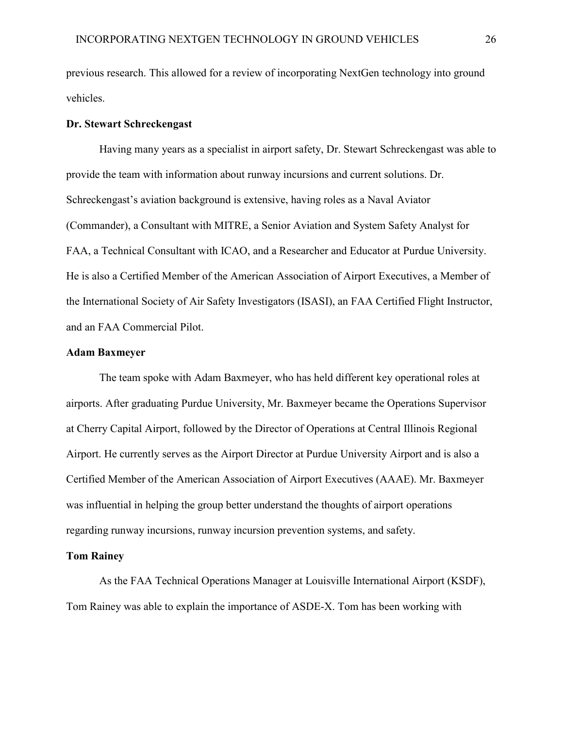previous research. This allowed for a review of incorporating NextGen technology into ground vehicles.

### **Dr. Stewart Schreckengast**

Having many years as a specialist in airport safety, Dr. Stewart Schreckengast was able to provide the team with information about runway incursions and current solutions. Dr. Schreckengast's aviation background is extensive, having roles as a Naval Aviator (Commander), a Consultant with MITRE, a Senior Aviation and System Safety Analyst for FAA, a Technical Consultant with ICAO, and a Researcher and Educator at Purdue University. He is also a Certified Member of the American Association of Airport Executives, a Member of the International Society of Air Safety Investigators (ISASI), an FAA Certified Flight Instructor, and an FAA Commercial Pilot.

#### **Adam Baxmeyer**

The team spoke with Adam Baxmeyer, who has held different key operational roles at airports. After graduating Purdue University, Mr. Baxmeyer became the Operations Supervisor at Cherry Capital Airport, followed by the Director of Operations at Central Illinois Regional Airport. He currently serves as the Airport Director at Purdue University Airport and is also a Certified Member of the American Association of Airport Executives (AAAE). Mr. Baxmeyer was influential in helping the group better understand the thoughts of airport operations regarding runway incursions, runway incursion prevention systems, and safety.

### **Tom Rainey**

As the FAA Technical Operations Manager at Louisville International Airport (KSDF), Tom Rainey was able to explain the importance of ASDE-X. Tom has been working with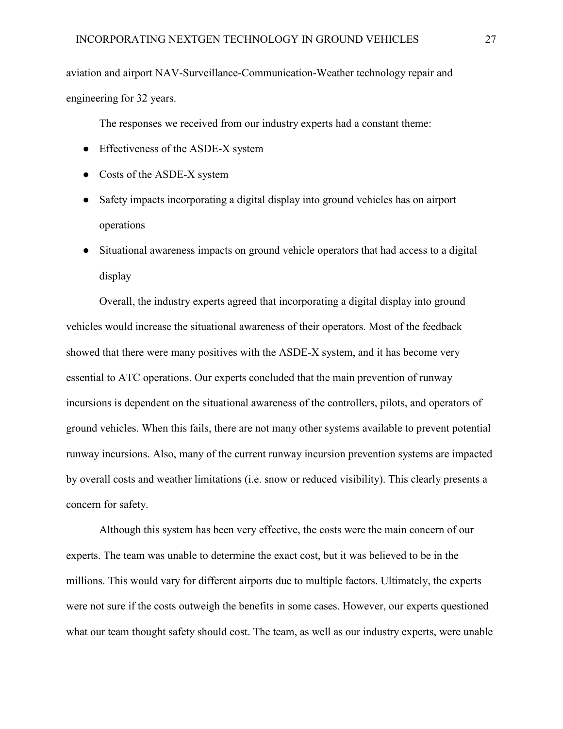aviation and airport NAV-Surveillance-Communication-Weather technology repair and engineering for 32 years.

The responses we received from our industry experts had a constant theme:

- Effectiveness of the ASDE-X system
- Costs of the ASDE-X system
- Safety impacts incorporating a digital display into ground vehicles has on airport operations
- Situational awareness impacts on ground vehicle operators that had access to a digital display

Overall, the industry experts agreed that incorporating a digital display into ground vehicles would increase the situational awareness of their operators. Most of the feedback showed that there were many positives with the ASDE-X system, and it has become very essential to ATC operations. Our experts concluded that the main prevention of runway incursions is dependent on the situational awareness of the controllers, pilots, and operators of ground vehicles. When this fails, there are not many other systems available to prevent potential runway incursions. Also, many of the current runway incursion prevention systems are impacted by overall costs and weather limitations (i.e. snow or reduced visibility). This clearly presents a concern for safety.

Although this system has been very effective, the costs were the main concern of our experts. The team was unable to determine the exact cost, but it was believed to be in the millions. This would vary for different airports due to multiple factors. Ultimately, the experts were not sure if the costs outweigh the benefits in some cases. However, our experts questioned what our team thought safety should cost. The team, as well as our industry experts, were unable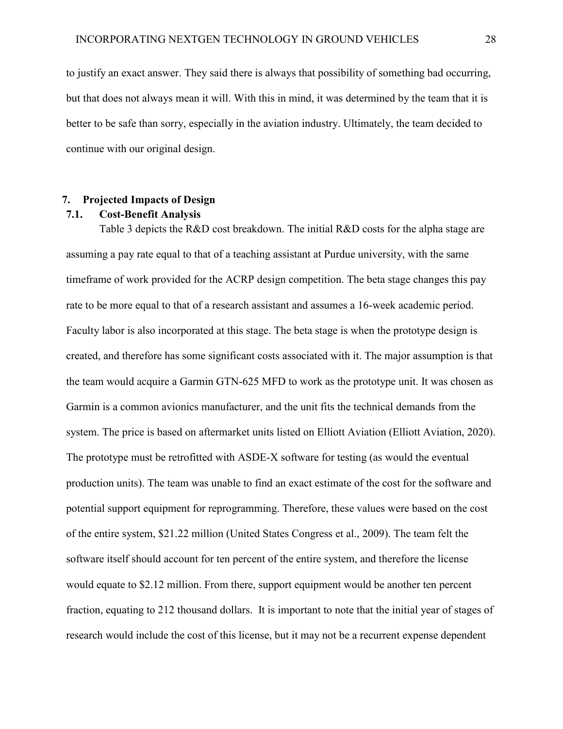to justify an exact answer. They said there is always that possibility of something bad occurring, but that does not always mean it will. With this in mind, it was determined by the team that it is better to be safe than sorry, especially in the aviation industry. Ultimately, the team decided to continue with our original design.

### **7. Projected Impacts of Design**

### **7.1. Cost-Benefit Analysis**

Table 3 depicts the R&D cost breakdown. The initial R&D costs for the alpha stage are assuming a pay rate equal to that of a teaching assistant at Purdue university, with the same timeframe of work provided for the ACRP design competition. The beta stage changes this pay rate to be more equal to that of a research assistant and assumes a 16-week academic period. Faculty labor is also incorporated at this stage. The beta stage is when the prototype design is created, and therefore has some significant costs associated with it. The major assumption is that the team would acquire a Garmin GTN-625 MFD to work as the prototype unit. It was chosen as Garmin is a common avionics manufacturer, and the unit fits the technical demands from the system. The price is based on aftermarket units listed on Elliott Aviation (Elliott Aviation, 2020). The prototype must be retrofitted with ASDE-X software for testing (as would the eventual production units). The team was unable to find an exact estimate of the cost for the software and potential support equipment for reprogramming. Therefore, these values were based on the cost of the entire system, \$21.22 million (United States Congress et al., 2009). The team felt the software itself should account for ten percent of the entire system, and therefore the license would equate to \$2.12 million. From there, support equipment would be another ten percent fraction, equating to 212 thousand dollars. It is important to note that the initial year of stages of research would include the cost of this license, but it may not be a recurrent expense dependent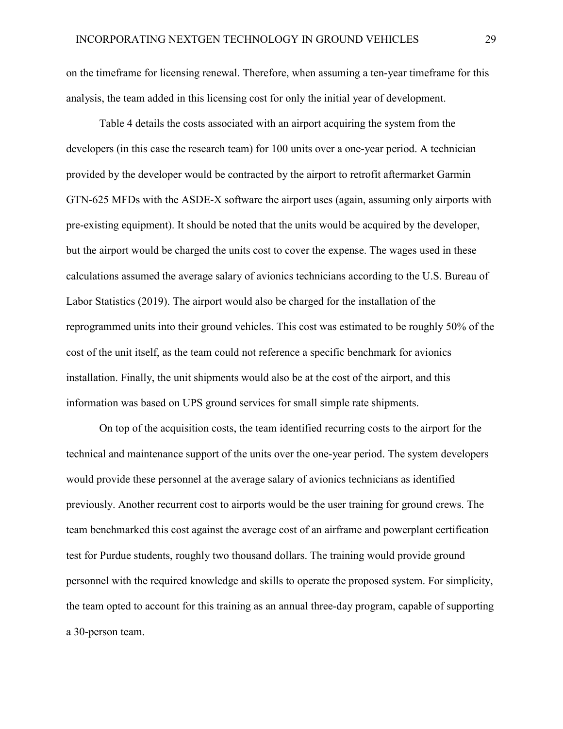on the timeframe for licensing renewal. Therefore, when assuming a ten-year timeframe for this analysis, the team added in this licensing cost for only the initial year of development.

Table 4 details the costs associated with an airport acquiring the system from the developers (in this case the research team) for 100 units over a one-year period. A technician provided by the developer would be contracted by the airport to retrofit aftermarket Garmin GTN-625 MFDs with the ASDE-X software the airport uses (again, assuming only airports with pre-existing equipment). It should be noted that the units would be acquired by the developer, but the airport would be charged the units cost to cover the expense. The wages used in these calculations assumed the average salary of avionics technicians according to the U.S. Bureau of Labor Statistics (2019). The airport would also be charged for the installation of the reprogrammed units into their ground vehicles. This cost was estimated to be roughly 50% of the cost of the unit itself, as the team could not reference a specific benchmark for avionics installation. Finally, the unit shipments would also be at the cost of the airport, and this information was based on UPS ground services for small simple rate shipments.

On top of the acquisition costs, the team identified recurring costs to the airport for the technical and maintenance support of the units over the one-year period. The system developers would provide these personnel at the average salary of avionics technicians as identified previously. Another recurrent cost to airports would be the user training for ground crews. The team benchmarked this cost against the average cost of an airframe and powerplant certification test for Purdue students, roughly two thousand dollars. The training would provide ground personnel with the required knowledge and skills to operate the proposed system. For simplicity, the team opted to account for this training as an annual three-day program, capable of supporting a 30-person team.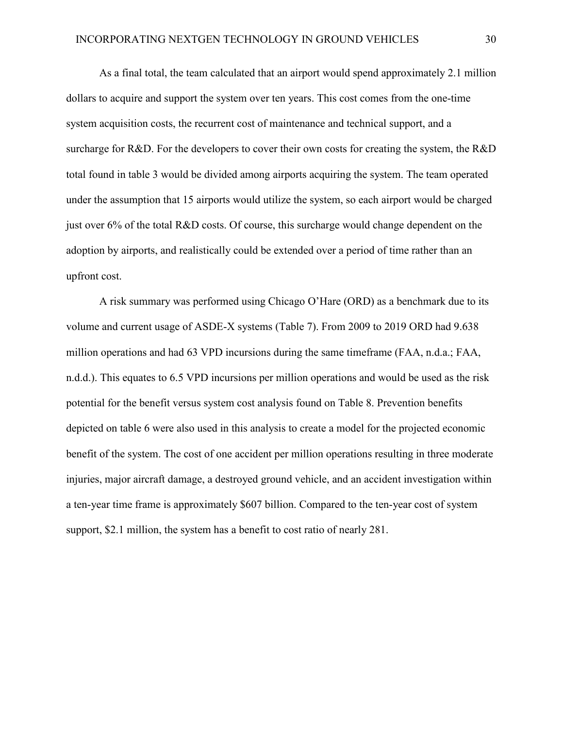As a final total, the team calculated that an airport would spend approximately 2.1 million dollars to acquire and support the system over ten years. This cost comes from the one-time system acquisition costs, the recurrent cost of maintenance and technical support, and a surcharge for R&D. For the developers to cover their own costs for creating the system, the R&D total found in table 3 would be divided among airports acquiring the system. The team operated under the assumption that 15 airports would utilize the system, so each airport would be charged just over 6% of the total R&D costs. Of course, this surcharge would change dependent on the adoption by airports, and realistically could be extended over a period of time rather than an upfront cost.

A risk summary was performed using Chicago O'Hare (ORD) as a benchmark due to its volume and current usage of ASDE-X systems (Table 7). From 2009 to 2019 ORD had 9.638 million operations and had 63 VPD incursions during the same timeframe (FAA, n.d.a.; FAA, n.d.d.). This equates to 6.5 VPD incursions per million operations and would be used as the risk potential for the benefit versus system cost analysis found on Table 8. Prevention benefits depicted on table 6 were also used in this analysis to create a model for the projected economic benefit of the system. The cost of one accident per million operations resulting in three moderate injuries, major aircraft damage, a destroyed ground vehicle, and an accident investigation within a ten-year time frame is approximately \$607 billion. Compared to the ten-year cost of system support, \$2.1 million, the system has a benefit to cost ratio of nearly 281.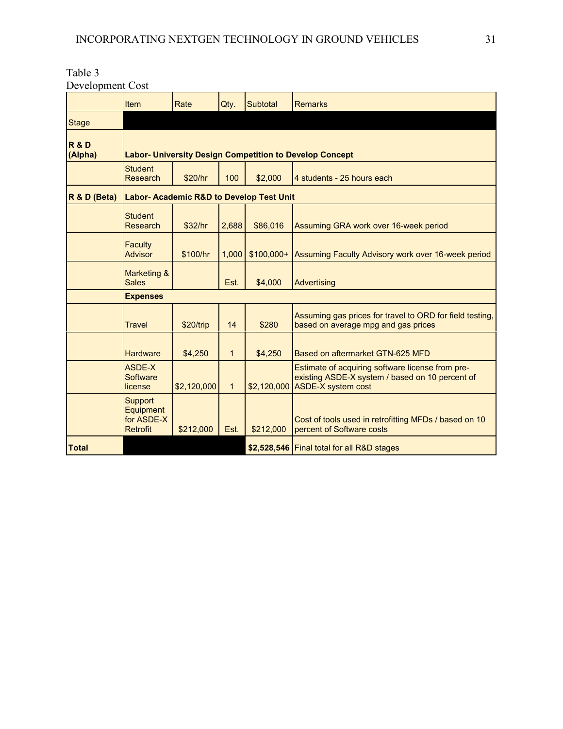| Table 3          |  |
|------------------|--|
| Development Cost |  |

|                           | Item                                                           | Rate        | Qty.         | Subtotal    | Remarks                                                                                                                                |  |  |  |  |
|---------------------------|----------------------------------------------------------------|-------------|--------------|-------------|----------------------------------------------------------------------------------------------------------------------------------------|--|--|--|--|
| <b>Stage</b>              |                                                                |             |              |             |                                                                                                                                        |  |  |  |  |
| <b>R&amp;D</b><br>(Alpha) | <b>Labor- University Design Competition to Develop Concept</b> |             |              |             |                                                                                                                                        |  |  |  |  |
|                           | <b>Student</b><br><b>Research</b>                              | \$20/hr     | 100          | \$2,000     | 4 students - 25 hours each                                                                                                             |  |  |  |  |
| R & D (Beta)              | <b>Labor- Academic R&amp;D to Develop Test Unit</b>            |             |              |             |                                                                                                                                        |  |  |  |  |
|                           | <b>Student</b><br><b>Research</b>                              | \$32/hr     | 2,688        | \$86,016    | Assuming GRA work over 16-week period                                                                                                  |  |  |  |  |
|                           | <b>Faculty</b><br><b>Advisor</b>                               | \$100/hr    | 1,000        | $$100,000+$ | Assuming Faculty Advisory work over 16-week period                                                                                     |  |  |  |  |
|                           | <b>Marketing &amp;</b><br><b>Sales</b>                         |             | Est.         | \$4,000     | Advertising                                                                                                                            |  |  |  |  |
|                           | <b>Expenses</b>                                                |             |              |             |                                                                                                                                        |  |  |  |  |
|                           | <b>Travel</b>                                                  | \$20/trip   | 14           | \$280       | Assuming gas prices for travel to ORD for field testing,<br>based on average mpg and gas prices                                        |  |  |  |  |
|                           | <b>Hardware</b>                                                | \$4,250     | $\mathbf{1}$ | \$4,250     | Based on aftermarket GTN-625 MFD                                                                                                       |  |  |  |  |
|                           | ASDE-X<br>Software<br>license                                  | \$2,120,000 | $\mathbf{1}$ |             | Estimate of acquiring software license from pre-<br>existing ASDE-X system / based on 10 percent of<br>$$2,120,000$ ASDE-X system cost |  |  |  |  |
|                           | <b>Support</b><br>Equipment<br>for ASDE-X<br><b>Retrofit</b>   | \$212,000   | Est.         | \$212,000   | Cost of tools used in retrofitting MFDs / based on 10<br>percent of Software costs                                                     |  |  |  |  |
| <b>Total</b>              |                                                                |             |              |             | \$2,528,546   Final total for all R&D stages                                                                                           |  |  |  |  |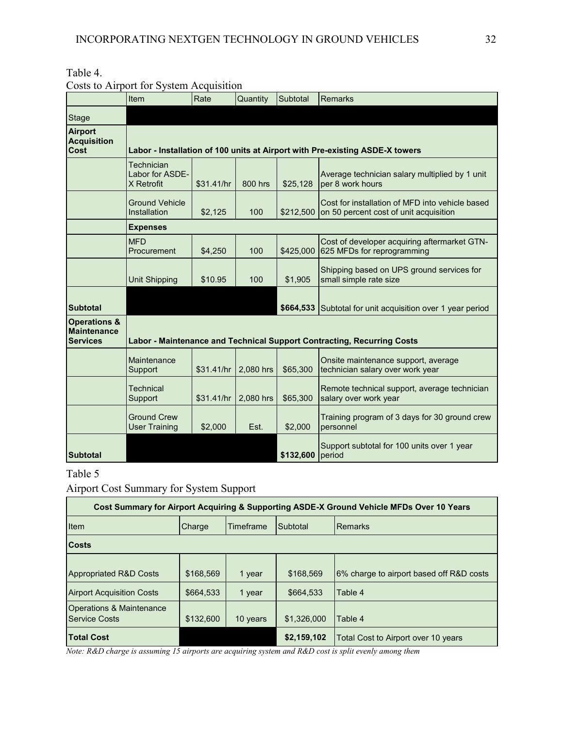| Table |  |
|-------|--|
|-------|--|

|  | Costs to Airport for System Acquisition |  |  |
|--|-----------------------------------------|--|--|
|--|-----------------------------------------|--|--|

|                                                                  | Item                                        | Rate       | Quantity  | Subtotal  | <b>Remarks</b>                                                                            |
|------------------------------------------------------------------|---------------------------------------------|------------|-----------|-----------|-------------------------------------------------------------------------------------------|
| Stage                                                            |                                             |            |           |           |                                                                                           |
| <b>Airport</b><br><b>Acquisition</b><br><b>Cost</b>              |                                             |            |           |           | Labor - Installation of 100 units at Airport with Pre-existing ASDE-X towers              |
|                                                                  | Technician<br>Labor for ASDE-<br>X Retrofit | \$31.41/hr | 800 hrs   | \$25,128  | Average technician salary multiplied by 1 unit<br>per 8 work hours                        |
|                                                                  | <b>Ground Vehicle</b><br>Installation       | \$2,125    | 100       | \$212,500 | Cost for installation of MFD into vehicle based<br>on 50 percent cost of unit acquisition |
|                                                                  | <b>Expenses</b>                             |            |           |           |                                                                                           |
|                                                                  | <b>MFD</b><br>Procurement                   | \$4,250    | 100       | \$425,000 | Cost of developer acquiring aftermarket GTN-<br>625 MFDs for reprogramming                |
|                                                                  | <b>Unit Shipping</b>                        | \$10.95    | 100       | \$1,905   | Shipping based on UPS ground services for<br>small simple rate size                       |
| <b>Subtotal</b>                                                  |                                             |            |           |           | \$664,533 Subtotal for unit acquisition over 1 year period                                |
| <b>Operations &amp;</b><br><b>Maintenance</b><br><b>Services</b> |                                             |            |           |           | Labor - Maintenance and Technical Support Contracting, Recurring Costs                    |
|                                                                  | Maintenance<br>Support                      | \$31.41/hr | 2,080 hrs | \$65,300  | Onsite maintenance support, average<br>technician salary over work year                   |
|                                                                  | <b>Technical</b><br>Support                 | \$31.41/hr | 2,080 hrs | \$65,300  | Remote technical support, average technician<br>salary over work year                     |
|                                                                  | <b>Ground Crew</b><br><b>User Training</b>  | \$2,000    | Est.      | \$2,000   | Training program of 3 days for 30 ground crew<br>personnel                                |
| <b>Subtotal</b>                                                  |                                             |            |           | \$132,600 | Support subtotal for 100 units over 1 year<br>period                                      |

## Table 5

Airport Cost Summary for System Support

| Cost Summary for Airport Acquiring & Supporting ASDE-X Ground Vehicle MFDs Over 10 Years |           |           |             |                                          |  |  |  |
|------------------------------------------------------------------------------------------|-----------|-----------|-------------|------------------------------------------|--|--|--|
| Item                                                                                     | Charge    | Timeframe | Subtotal    | <b>IRemarks</b>                          |  |  |  |
| <b>Costs</b>                                                                             |           |           |             |                                          |  |  |  |
| <b>Appropriated R&amp;D Costs</b>                                                        | \$168,569 | 1 year    | \$168.569   | 6% charge to airport based off R&D costs |  |  |  |
| <b>Airport Acquisition Costs</b>                                                         | \$664,533 | 1 year    | \$664.533   | Table 4                                  |  |  |  |
| Operations & Maintenance<br><b>Service Costs</b>                                         | \$132,600 | 10 years  | \$1.326,000 | Table 4                                  |  |  |  |
| <b>Total Cost</b>                                                                        |           |           | \$2,159,102 | Total Cost to Airport over 10 years      |  |  |  |

*Note: R&D charge is assuming 15 airports are acquiring system and R&D cost is split evenly among them*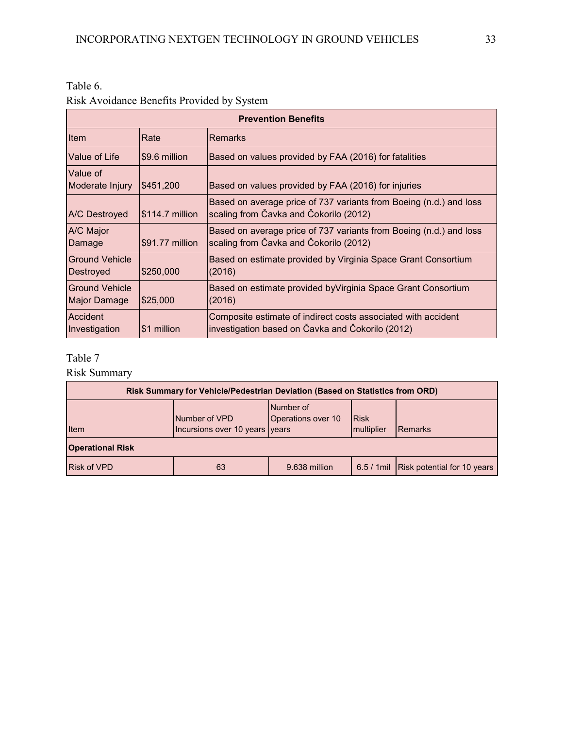Table 6.

## Risk Avoidance Benefits Provided by System

| <b>Prevention Benefits</b>                   |                  |                                                                                                                   |  |  |
|----------------------------------------------|------------------|-------------------------------------------------------------------------------------------------------------------|--|--|
| Item                                         | Rate             | <b>Remarks</b>                                                                                                    |  |  |
| Value of Life                                | \$9.6 million    | Based on values provided by FAA (2016) for fatalities                                                             |  |  |
| Value of<br>Moderate Injury                  | \$451,200        | Based on values provided by FAA (2016) for injuries                                                               |  |  |
| <b>A/C</b> Destroyed                         | $$114.7$ million | Based on average price of 737 variants from Boeing (n.d.) and loss<br>scaling from Čavka and Čokorilo (2012)      |  |  |
| <b>A/C Major</b><br>Damage                   | \$91.77 million  | Based on average price of 737 variants from Boeing (n.d.) and loss<br>scaling from Čavka and Čokorilo (2012)      |  |  |
| <b>Ground Vehicle</b><br>Destroyed           | \$250,000        | Based on estimate provided by Virginia Space Grant Consortium<br>(2016)                                           |  |  |
| <b>Ground Vehicle</b><br><b>Major Damage</b> | \$25,000         | Based on estimate provided by Virginia Space Grant Consortium<br>(2016)                                           |  |  |
| Accident<br>Investigation                    | \$1 million      | Composite estimate of indirect costs associated with accident<br>investigation based on Čavka and Čokorilo (2012) |  |  |

## Table 7

Risk Summary

| <b>Risk Summary for Vehicle/Pedestrian Deviation (Based on Statistics from ORD)</b> |                                                 |                                 |                                                 |                                         |  |  |  |  |
|-------------------------------------------------------------------------------------|-------------------------------------------------|---------------------------------|-------------------------------------------------|-----------------------------------------|--|--|--|--|
| Item                                                                                | Number of VPD<br>Incursions over 10 years years | Number of<br>Operations over 10 | <b>Risk</b><br><i><u><b>Imultiplier</b></u></i> | <b>Remarks</b>                          |  |  |  |  |
| <b>Operational Risk</b>                                                             |                                                 |                                 |                                                 |                                         |  |  |  |  |
| <b>Risk of VPD</b>                                                                  | 63                                              | 9.638 million                   |                                                 | 6.5 / 1 mil Risk potential for 10 years |  |  |  |  |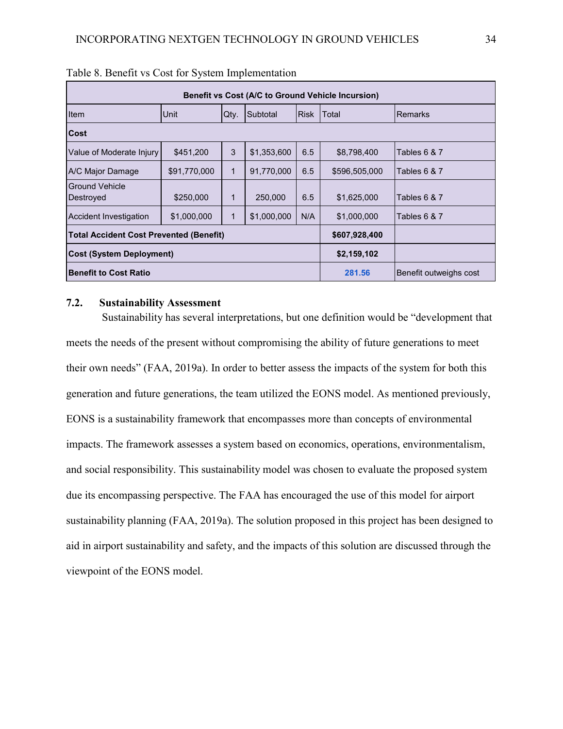| Benefit vs Cost (A/C to Ground Vehicle Incursion) |              |              |             |             |                        |                |
|---------------------------------------------------|--------------|--------------|-------------|-------------|------------------------|----------------|
| Item                                              | <b>Unit</b>  | Qty.         | Subtotal    | <b>Risk</b> | Total                  | <b>Remarks</b> |
| <b>Cost</b>                                       |              |              |             |             |                        |                |
| Value of Moderate Injury                          | \$451,200    | 3            | \$1,353,600 | 6.5         | \$8,798,400            | Tables 6 & 7   |
| A/C Major Damage                                  | \$91,770,000 | $\mathbf{1}$ | 91,770,000  | 6.5         | \$596,505,000          | Tables 6 & 7   |
| Ground Vehicle<br>Destroyed                       | \$250,000    | 1            | 250,000     | 6.5         | \$1,625,000            | Tables 6 & 7   |
| Accident Investigation                            | \$1,000,000  | $\mathbf{1}$ | \$1,000,000 | N/A         | \$1,000,000            | Tables 6 & 7   |
| <b>Total Accident Cost Prevented (Benefit)</b>    |              |              |             |             | \$607,928,400          |                |
| <b>Cost (System Deployment)</b>                   |              |              |             | \$2,159,102 |                        |                |
| <b>Benefit to Cost Ratio</b>                      |              |              |             | 281.56      | Benefit outweighs cost |                |

### **7.2. Sustainability Assessment**

 Sustainability has several interpretations, but one definition would be "development that meets the needs of the present without compromising the ability of future generations to meet their own needs" (FAA, 2019a). In order to better assess the impacts of the system for both this generation and future generations, the team utilized the EONS model. As mentioned previously, EONS is a sustainability framework that encompasses more than concepts of environmental impacts. The framework assesses a system based on economics, operations, environmentalism, and social responsibility. This sustainability model was chosen to evaluate the proposed system due its encompassing perspective. The FAA has encouraged the use of this model for airport sustainability planning (FAA, 2019a). The solution proposed in this project has been designed to aid in airport sustainability and safety, and the impacts of this solution are discussed through the viewpoint of the EONS model.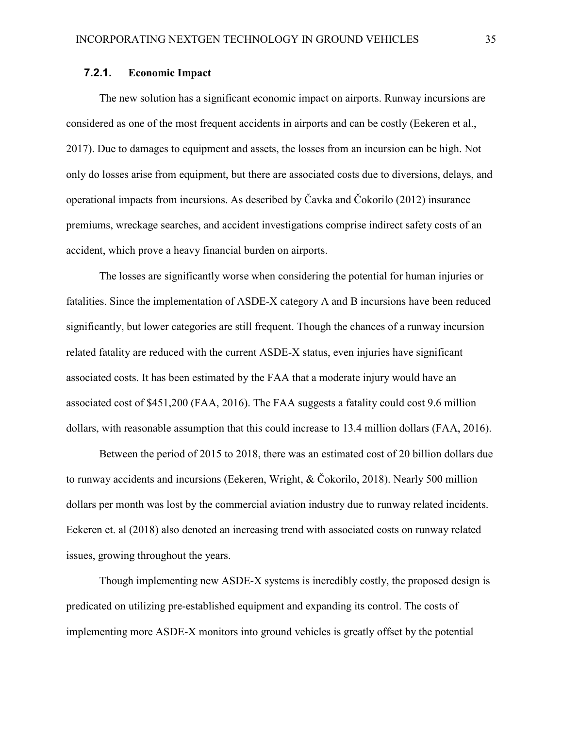### **7.2.1. Economic Impact**

The new solution has a significant economic impact on airports. Runway incursions are considered as one of the most frequent accidents in airports and can be costly (Eekeren et al., 2017). Due to damages to equipment and assets, the losses from an incursion can be high. Not only do losses arise from equipment, but there are associated costs due to diversions, delays, and operational impacts from incursions. As described by Čavka and Čokorilo (2012) insurance premiums, wreckage searches, and accident investigations comprise indirect safety costs of an accident, which prove a heavy financial burden on airports.

The losses are significantly worse when considering the potential for human injuries or fatalities. Since the implementation of ASDE-X category A and B incursions have been reduced significantly, but lower categories are still frequent. Though the chances of a runway incursion related fatality are reduced with the current ASDE-X status, even injuries have significant associated costs. It has been estimated by the FAA that a moderate injury would have an associated cost of \$451,200 (FAA, 2016). The FAA suggests a fatality could cost 9.6 million dollars, with reasonable assumption that this could increase to 13.4 million dollars (FAA, 2016).

Between the period of 2015 to 2018, there was an estimated cost of 20 billion dollars due to runway accidents and incursions (Eekeren, Wright, & Čokorilo, 2018). Nearly 500 million dollars per month was lost by the commercial aviation industry due to runway related incidents. Eekeren et. al (2018) also denoted an increasing trend with associated costs on runway related issues, growing throughout the years.

Though implementing new ASDE-X systems is incredibly costly, the proposed design is predicated on utilizing pre-established equipment and expanding its control. The costs of implementing more ASDE-X monitors into ground vehicles is greatly offset by the potential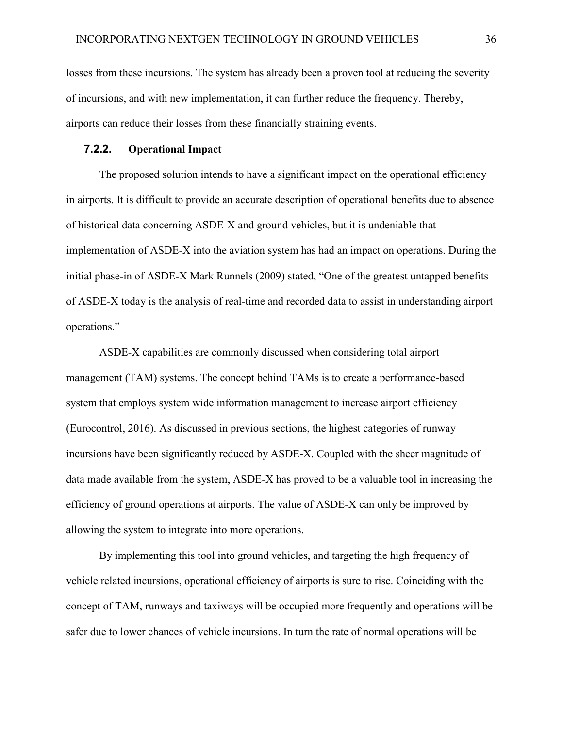losses from these incursions. The system has already been a proven tool at reducing the severity of incursions, and with new implementation, it can further reduce the frequency. Thereby, airports can reduce their losses from these financially straining events.

### **7.2.2. Operational Impact**

The proposed solution intends to have a significant impact on the operational efficiency in airports. It is difficult to provide an accurate description of operational benefits due to absence of historical data concerning ASDE-X and ground vehicles, but it is undeniable that implementation of ASDE-X into the aviation system has had an impact on operations. During the initial phase-in of ASDE-X Mark Runnels (2009) stated, "One of the greatest untapped benefits of ASDE-X today is the analysis of real-time and recorded data to assist in understanding airport operations."

ASDE-X capabilities are commonly discussed when considering total airport management (TAM) systems. The concept behind TAMs is to create a performance-based system that employs system wide information management to increase airport efficiency (Eurocontrol, 2016). As discussed in previous sections, the highest categories of runway incursions have been significantly reduced by ASDE-X. Coupled with the sheer magnitude of data made available from the system, ASDE-X has proved to be a valuable tool in increasing the efficiency of ground operations at airports. The value of ASDE-X can only be improved by allowing the system to integrate into more operations.

By implementing this tool into ground vehicles, and targeting the high frequency of vehicle related incursions, operational efficiency of airports is sure to rise. Coinciding with the concept of TAM, runways and taxiways will be occupied more frequently and operations will be safer due to lower chances of vehicle incursions. In turn the rate of normal operations will be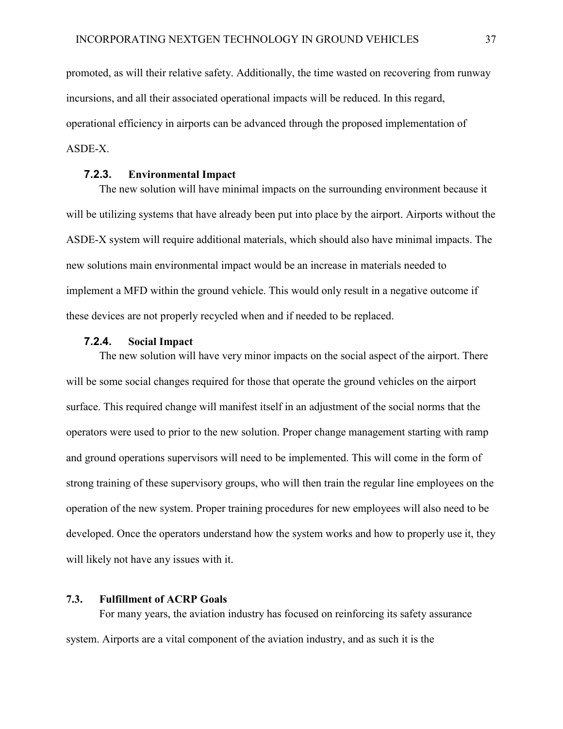promoted, as will their relative safety. Additionally, the time wasted on recovering from runway incursions, and all their associated operational impacts will be reduced. In this regard, operational efficiency in airports can be advanced through the proposed implementation of ASDE-X.

### **7.2.3. Environmental Impact**

The new solution will have minimal impacts on the surrounding environment because it will be utilizing systems that have already been put into place by the airport. Airports without the ASDE-X system will require additional materials, which should also have minimal impacts. The new solutions main environmental impact would be an increase in materials needed to implement a MFD within the ground vehicle. This would only result in a negative outcome if these devices are not properly recycled when and if needed to be replaced.

### **7.2.4. Social Impact**

The new solution will have very minor impacts on the social aspect of the airport. There will be some social changes required for those that operate the ground vehicles on the airport surface. This required change will manifest itself in an adjustment of the social norms that the operators were used to prior to the new solution. Proper change management starting with ramp and ground operations supervisors will need to be implemented. This will come in the form of strong training of these supervisory groups, who will then train the regular line employees on the operation of the new system. Proper training procedures for new employees will also need to be developed. Once the operators understand how the system works and how to properly use it, they will likely not have any issues with it.

### **7.3. Fulfillment of ACRP Goals**

For many years, the aviation industry has focused on reinforcing its safety assurance system. Airports are a vital component of the aviation industry, and as such it is the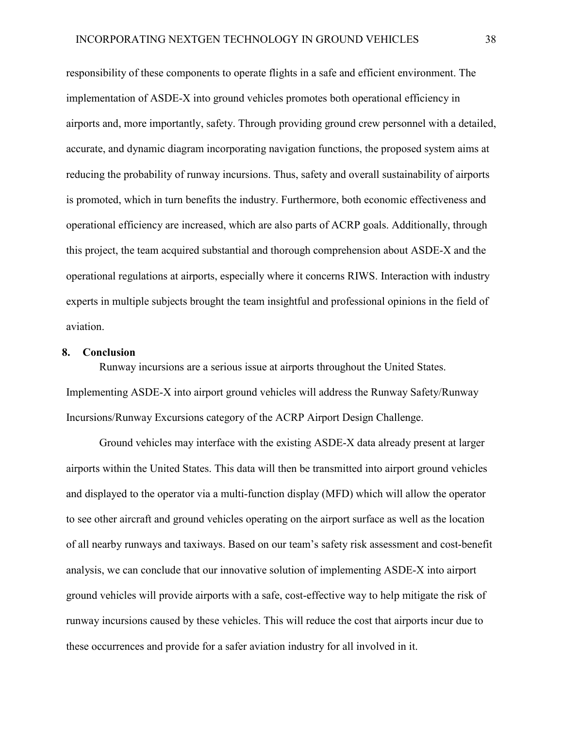responsibility of these components to operate flights in a safe and efficient environment. The implementation of ASDE-X into ground vehicles promotes both operational efficiency in airports and, more importantly, safety. Through providing ground crew personnel with a detailed, accurate, and dynamic diagram incorporating navigation functions, the proposed system aims at reducing the probability of runway incursions. Thus, safety and overall sustainability of airports is promoted, which in turn benefits the industry. Furthermore, both economic effectiveness and operational efficiency are increased, which are also parts of ACRP goals. Additionally, through this project, the team acquired substantial and thorough comprehension about ASDE-X and the operational regulations at airports, especially where it concerns RIWS. Interaction with industry experts in multiple subjects brought the team insightful and professional opinions in the field of aviation.

#### **8. Conclusion**

Runway incursions are a serious issue at airports throughout the United States. Implementing ASDE-X into airport ground vehicles will address the Runway Safety/Runway Incursions/Runway Excursions category of the ACRP Airport Design Challenge.

Ground vehicles may interface with the existing ASDE-X data already present at larger airports within the United States. This data will then be transmitted into airport ground vehicles and displayed to the operator via a multi-function display (MFD) which will allow the operator to see other aircraft and ground vehicles operating on the airport surface as well as the location of all nearby runways and taxiways. Based on our team's safety risk assessment and cost-benefit analysis, we can conclude that our innovative solution of implementing ASDE-X into airport ground vehicles will provide airports with a safe, cost-effective way to help mitigate the risk of runway incursions caused by these vehicles. This will reduce the cost that airports incur due to these occurrences and provide for a safer aviation industry for all involved in it.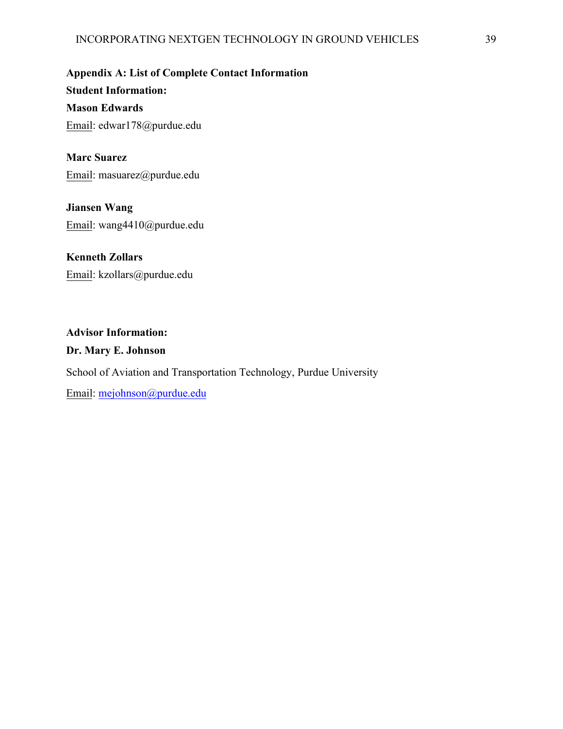**Appendix A: List of Complete Contact Information Student Information: Mason Edwards**  Email: edwar178@purdue.edu

**Marc Suarez**  Email: masuarez@purdue.edu

**Jiansen Wang**  Email: wang4410@purdue.edu

**Kenneth Zollars**  Email: kzollars@purdue.edu

**Advisor Information: Dr. Mary E. Johnson**  School of Aviation and Transportation Technology, Purdue University Email: mejohnson@purdue.edu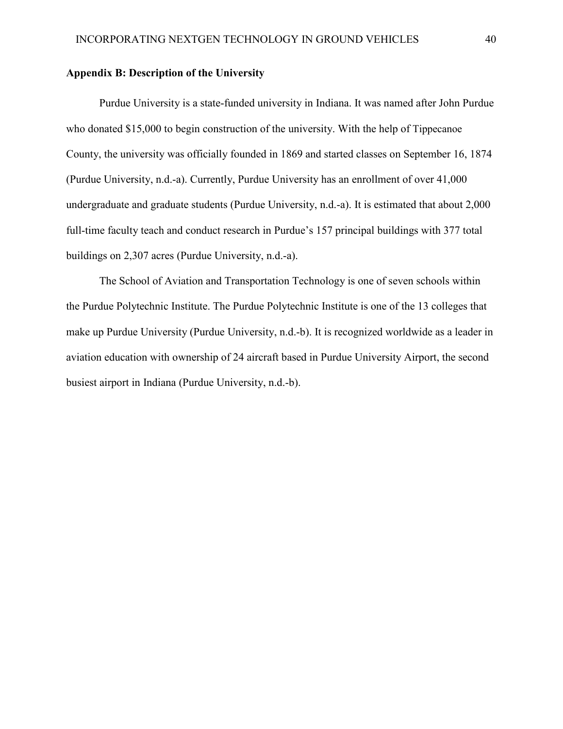### **Appendix B: Description of the University**

Purdue University is a state-funded university in Indiana. It was named after John Purdue who donated \$15,000 to begin construction of the university. With the help of Tippecanoe County, the university was officially founded in 1869 and started classes on September 16, 1874 (Purdue University, n.d.-a). Currently, Purdue University has an enrollment of over 41,000 undergraduate and graduate students (Purdue University, n.d.-a). It is estimated that about 2,000 full-time faculty teach and conduct research in Purdue's 157 principal buildings with 377 total buildings on 2,307 acres (Purdue University, n.d.-a).

The School of Aviation and Transportation Technology is one of seven schools within the Purdue Polytechnic Institute. The Purdue Polytechnic Institute is one of the 13 colleges that make up Purdue University (Purdue University, n.d.-b). It is recognized worldwide as a leader in aviation education with ownership of 24 aircraft based in Purdue University Airport, the second busiest airport in Indiana (Purdue University, n.d.-b).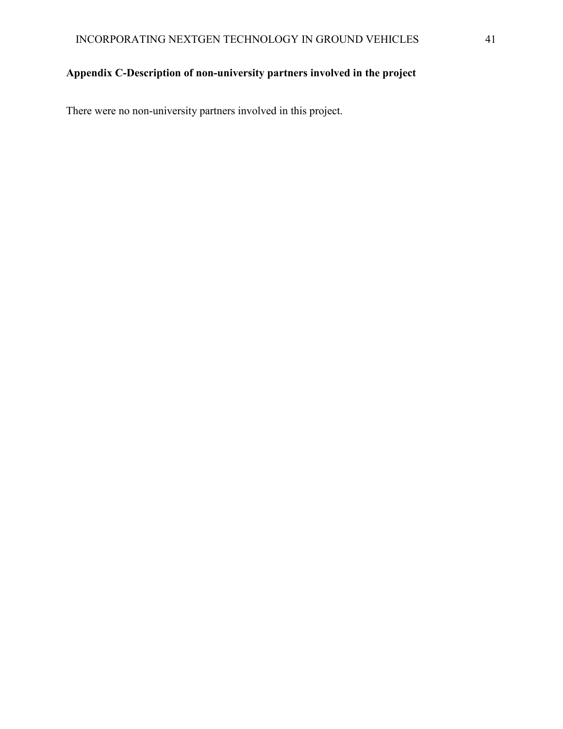## **Appendix C-Description of non-university partners involved in the project**

There were no non-university partners involved in this project.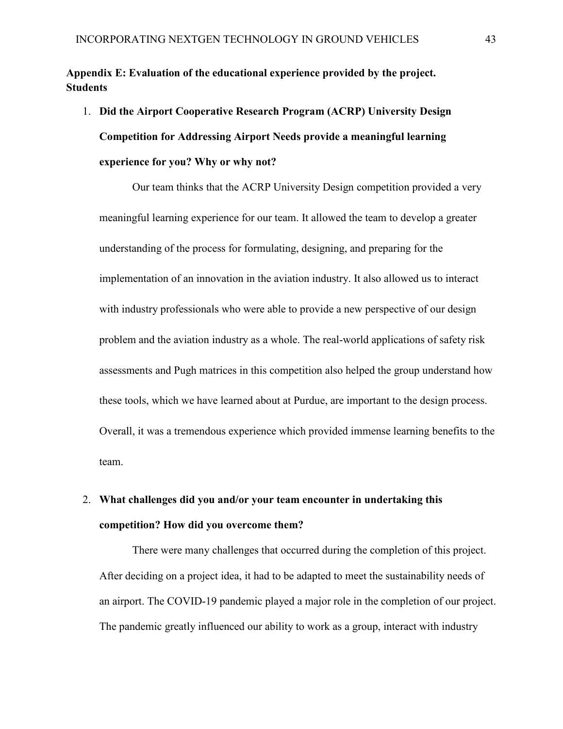**Appendix E: Evaluation of the educational experience provided by the project. Students**

1. **Did the Airport Cooperative Research Program (ACRP) University Design Competition for Addressing Airport Needs provide a meaningful learning experience for you? Why or why not?**

Our team thinks that the ACRP University Design competition provided a very meaningful learning experience for our team. It allowed the team to develop a greater understanding of the process for formulating, designing, and preparing for the implementation of an innovation in the aviation industry. It also allowed us to interact with industry professionals who were able to provide a new perspective of our design problem and the aviation industry as a whole. The real-world applications of safety risk assessments and Pugh matrices in this competition also helped the group understand how these tools, which we have learned about at Purdue, are important to the design process. Overall, it was a tremendous experience which provided immense learning benefits to the team.

# 2. **What challenges did you and/or your team encounter in undertaking this competition? How did you overcome them?**

There were many challenges that occurred during the completion of this project. After deciding on a project idea, it had to be adapted to meet the sustainability needs of an airport. The COVID-19 pandemic played a major role in the completion of our project. The pandemic greatly influenced our ability to work as a group, interact with industry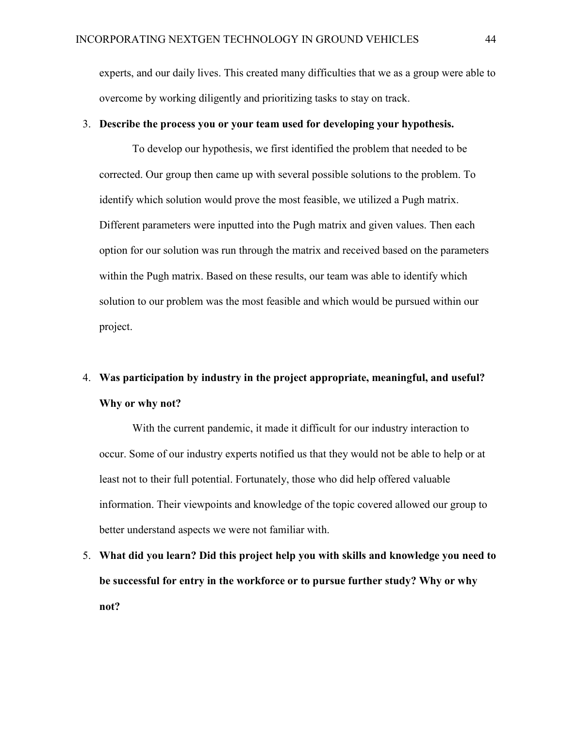experts, and our daily lives. This created many difficulties that we as a group were able to overcome by working diligently and prioritizing tasks to stay on track.

### 3. **Describe the process you or your team used for developing your hypothesis.**

To develop our hypothesis, we first identified the problem that needed to be corrected. Our group then came up with several possible solutions to the problem. To identify which solution would prove the most feasible, we utilized a Pugh matrix. Different parameters were inputted into the Pugh matrix and given values. Then each option for our solution was run through the matrix and received based on the parameters within the Pugh matrix. Based on these results, our team was able to identify which solution to our problem was the most feasible and which would be pursued within our project.

# 4. **Was participation by industry in the project appropriate, meaningful, and useful? Why or why not?**

With the current pandemic, it made it difficult for our industry interaction to occur. Some of our industry experts notified us that they would not be able to help or at least not to their full potential. Fortunately, those who did help offered valuable information. Their viewpoints and knowledge of the topic covered allowed our group to better understand aspects we were not familiar with.

5. **What did you learn? Did this project help you with skills and knowledge you need to be successful for entry in the workforce or to pursue further study? Why or why not?**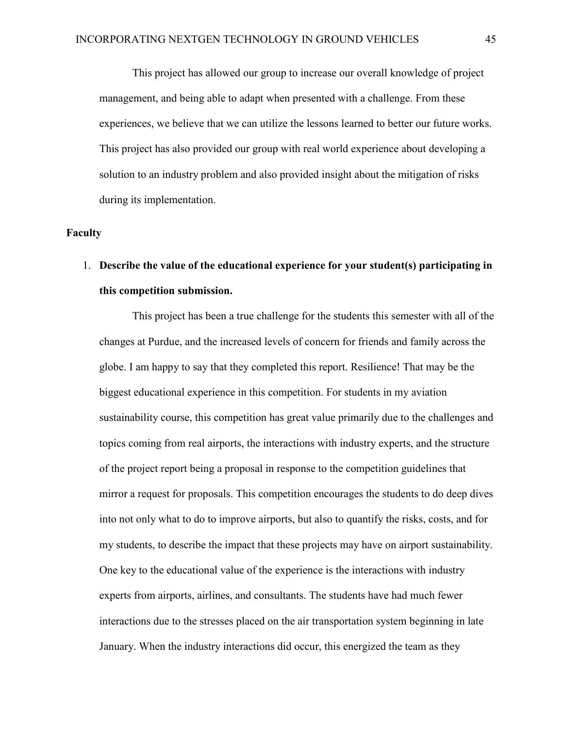This project has allowed our group to increase our overall knowledge of project management, and being able to adapt when presented with a challenge. From these experiences, we believe that we can utilize the lessons learned to better our future works. This project has also provided our group with real world experience about developing a solution to an industry problem and also provided insight about the mitigation of risks during its implementation.

### **Faculty**

# 1. **Describe the value of the educational experience for your student(s) participating in this competition submission.**

This project has been a true challenge for the students this semester with all of the changes at Purdue, and the increased levels of concern for friends and family across the globe. I am happy to say that they completed this report. Resilience! That may be the biggest educational experience in this competition. For students in my aviation sustainability course, this competition has great value primarily due to the challenges and topics coming from real airports, the interactions with industry experts, and the structure of the project report being a proposal in response to the competition guidelines that mirror a request for proposals. This competition encourages the students to do deep dives into not only what to do to improve airports, but also to quantify the risks, costs, and for my students, to describe the impact that these projects may have on airport sustainability. One key to the educational value of the experience is the interactions with industry experts from airports, airlines, and consultants. The students have had much fewer interactions due to the stresses placed on the air transportation system beginning in late January. When the industry interactions did occur, this energized the team as they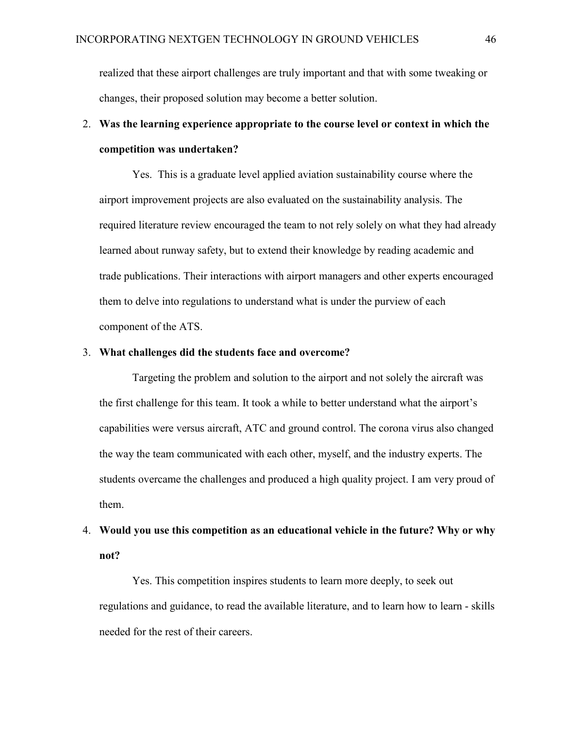realized that these airport challenges are truly important and that with some tweaking or changes, their proposed solution may become a better solution.

# 2. **Was the learning experience appropriate to the course level or context in which the competition was undertaken?**

Yes. This is a graduate level applied aviation sustainability course where the airport improvement projects are also evaluated on the sustainability analysis. The required literature review encouraged the team to not rely solely on what they had already learned about runway safety, but to extend their knowledge by reading academic and trade publications. Their interactions with airport managers and other experts encouraged them to delve into regulations to understand what is under the purview of each component of the ATS.

### 3. **What challenges did the students face and overcome?**

Targeting the problem and solution to the airport and not solely the aircraft was the first challenge for this team. It took a while to better understand what the airport's capabilities were versus aircraft, ATC and ground control. The corona virus also changed the way the team communicated with each other, myself, and the industry experts. The students overcame the challenges and produced a high quality project. I am very proud of them.

# 4. **Would you use this competition as an educational vehicle in the future? Why or why not?**

Yes. This competition inspires students to learn more deeply, to seek out regulations and guidance, to read the available literature, and to learn how to learn - skills needed for the rest of their careers.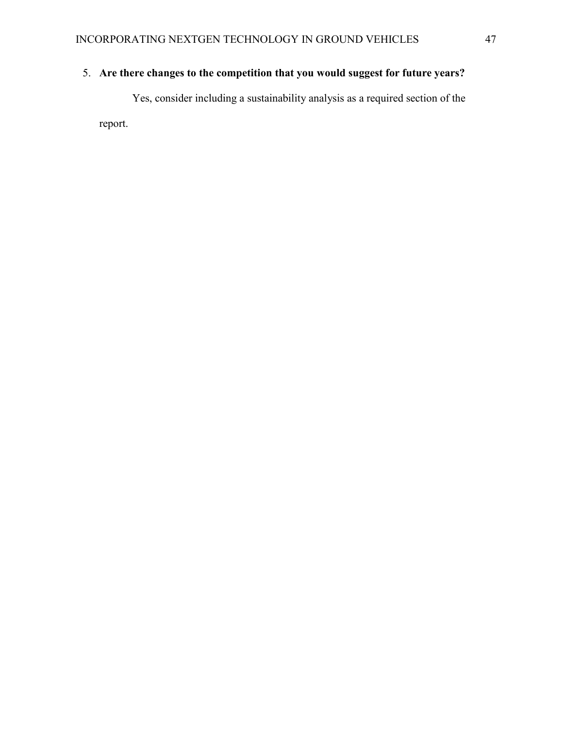## 5. **Are there changes to the competition that you would suggest for future years?**

Yes, consider including a sustainability analysis as a required section of the report.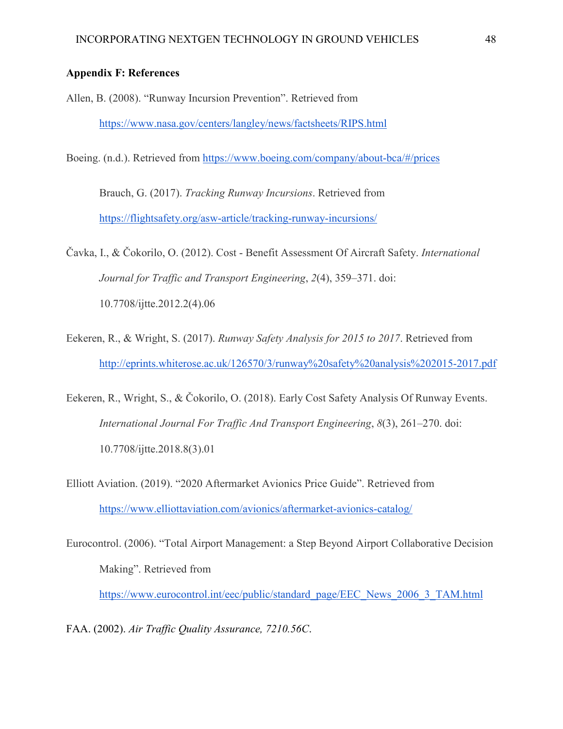### **Appendix F: References**

- Allen, B. (2008). "Runway Incursion Prevention". Retrieved from <https://www.nasa.gov/centers/langley/news/factsheets/RIPS.html>
- Boeing. (n.d.). Retrieved from<https://www.boeing.com/company/about-bca/#/prices>

Brauch, G. (2017). *Tracking Runway Incursions*. Retrieved from <https://flightsafety.org/asw-article/tracking-runway-incursions/>

Čavka, I., & Čokorilo, O. (2012). Cost - Benefit Assessment Of Aircraft Safety. *International Journal for Traffic and Transport Engineering*, *2*(4), 359–371. doi: 10.7708/ijtte.2012.2(4).06

Eekeren, R., & Wright, S. (2017). *Runway Safety Analysis for 2015 to 2017*. Retrieved from <http://eprints.whiterose.ac.uk/126570/3/runway%20safety%20analysis%202015-2017.pdf>

Eekeren, R., Wright, S., & Čokorilo, O. (2018). Early Cost Safety Analysis Of Runway Events. *International Journal For Traffic And Transport Engineering*, *8*(3), 261–270. doi: 10.7708/ijtte.2018.8(3).01

Elliott Aviation. (2019). "2020 Aftermarket Avionics Price Guide". Retrieved from <https://www.elliottaviation.com/avionics/aftermarket-avionics-catalog/>

Eurocontrol. (2006). "Total Airport Management: a Step Beyond Airport Collaborative Decision Making". Retrieved from

[https://www.eurocontrol.int/eec/public/standard\\_page/EEC\\_News\\_2006\\_3\\_TAM.html](https://www.eurocontrol.int/eec/public/standard_page/EEC_News_2006_3_TAM.html)

FAA. (2002). *Air Traffic Quality Assurance, 7210.56C*.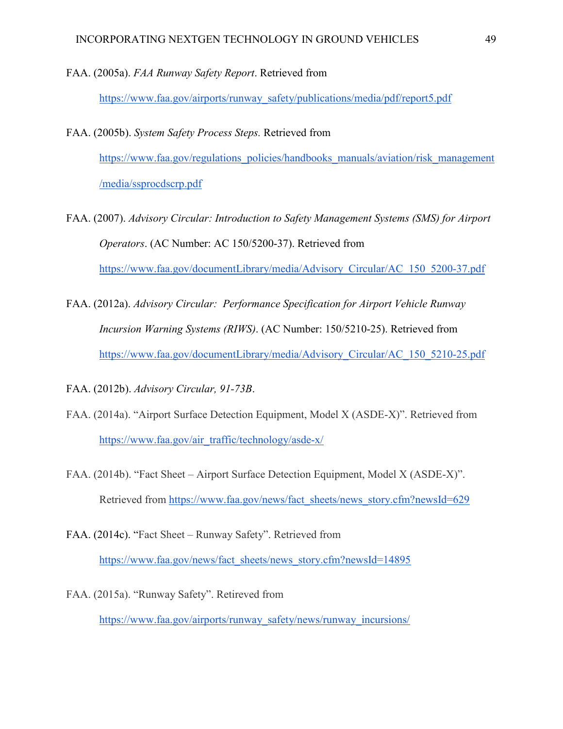FAA. (2005a). *FAA Runway Safety Report*. Retrieved from

[https://www.faa.gov/airports/runway\\_safety/publications/media/pdf/report5.pdf](https://www.faa.gov/airports/runway_safety/publications/media/pdf/report5.pdf)

- FAA. (2005b). *System Safety Process Steps.* Retrieved from [https://www.faa.gov/regulations\\_policies/handbooks\\_manuals/aviation/risk\\_management](https://www.faa.gov/regulations_policies/handbooks_manuals/aviation/risk_management/media/ssprocdscrp.pdf) [/media/ssprocdscrp.pdf](https://www.faa.gov/regulations_policies/handbooks_manuals/aviation/risk_management/media/ssprocdscrp.pdf)
- FAA. (2007). *Advisory Circular: Introduction to Safety Management Systems (SMS) for Airport Operators*. (AC Number: AC 150/5200-37). Retrieved from [https://www.faa.gov/documentLibrary/media/Advisory\\_Circular/AC\\_150\\_5200-37.pdf](https://www.faa.gov/documentLibrary/media/Advisory_Circular/AC_150_5200-37.pdf)
- FAA. (2012a). *Advisory Circular: Performance Specification for Airport Vehicle Runway Incursion Warning Systems (RIWS)*. (AC Number: 150/5210-25). Retrieved from [https://www.faa.gov/documentLibrary/media/Advisory\\_Circular/AC\\_150\\_5210-25.pdf](https://www.faa.gov/documentLibrary/media/Advisory_Circular/AC_150_5210-25.pdf)

FAA. (2012b). *Advisory Circular, 91-73B*.

- FAA. (2014a). "Airport Surface Detection Equipment, Model X (ASDE-X)". Retrieved from [https://www.faa.gov/air\\_traffic/technology/asde-x/](https://www.faa.gov/air_traffic/technology/asde-x/)
- FAA. (2014b). "Fact Sheet Airport Surface Detection Equipment, Model X (ASDE-X)". Retrieved from [https://www.faa.gov/news/fact\\_sheets/news\\_story.cfm?newsId=629](https://www.faa.gov/news/fact_sheets/news_story.cfm?newsId=629)
- FAA. (2014c). "Fact Sheet Runway Safety". Retrieved from [https://www.faa.gov/news/fact\\_sheets/news\\_story.cfm?newsId=14895](https://www.faa.gov/news/fact_sheets/news_story.cfm?newsId=14895)
- FAA. (2015a). "Runway Safety". Retireved from [https://www.faa.gov/airports/runway\\_safety/news/runway\\_incursions/](https://www.faa.gov/airports/runway_safety/news/runway_incursions/)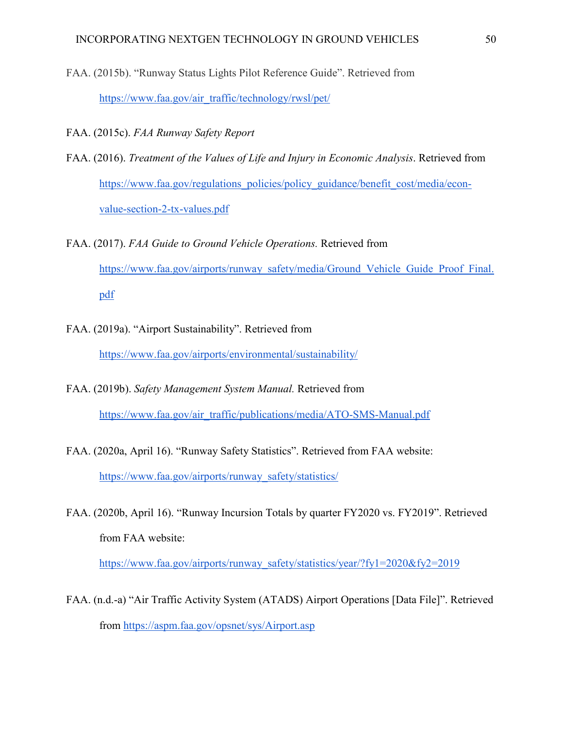- FAA. (2015b). "Runway Status Lights Pilot Reference Guide". Retrieved from [https://www.faa.gov/air\\_traffic/technology/rwsl/pet/](https://www.faa.gov/air_traffic/technology/rwsl/pet/)
- FAA. (2015c). *FAA Runway Safety Report*
- FAA. (2016). *Treatment of the Values of Life and Injury in Economic Analysis*. Retrieved from [https://www.faa.gov/regulations\\_policies/policy\\_guidance/benefit\\_cost/media/econ](https://www.faa.gov/regulations_policies/policy_guidance/benefit_cost/media/econ-value-section-2-tx-values.pdf)[value-section-2-tx-values.pdf](https://www.faa.gov/regulations_policies/policy_guidance/benefit_cost/media/econ-value-section-2-tx-values.pdf)
- FAA. (2017). *FAA Guide to Ground Vehicle Operations.* Retrieved from [https://www.faa.gov/airports/runway\\_safety/media/Ground\\_Vehicle\\_Guide\\_Proof\\_Final.](https://www.faa.gov/airports/runway_safety/media/Ground_Vehicle_Guide_Proof_Final.pdf) [pdf](https://www.faa.gov/airports/runway_safety/media/Ground_Vehicle_Guide_Proof_Final.pdf)
- FAA. (2019a). "Airport Sustainability". Retrieved from <https://www.faa.gov/airports/environmental/sustainability/>
- FAA. (2019b). *Safety Management System Manual.* Retrieved from [https://www.faa.gov/air\\_traffic/publications/media/ATO-SMS-Manual.pdf](https://www.faa.gov/air_traffic/publications/media/ATO-SMS-Manual.pdf)
- FAA. (2020a, April 16). "Runway Safety Statistics". Retrieved from FAA website[:](https://www.faa.gov/airports/runway_safety/statistics/) [https://www.faa.gov/airports/runway\\_safety/statistics/](https://www.faa.gov/airports/runway_safety/statistics/)
- FAA. (2020b, April 16). "Runway Incursion Totals by quarter FY2020 vs. FY2019". Retrieved from FAA website[:](https://www.faa.gov/airports/runway_safety/statistics/year/?fy1=2020&fy2=2019)

[https://www.faa.gov/airports/runway\\_safety/statistics/year/?fy1=2020&fy2=2019](https://www.faa.gov/airports/runway_safety/statistics/year/?fy1=2020&fy2=2019)

FAA. (n.d.-a) "Air Traffic Activity System (ATADS) Airport Operations [Data File]". Retrieved from<https://aspm.faa.gov/opsnet/sys/Airport.asp>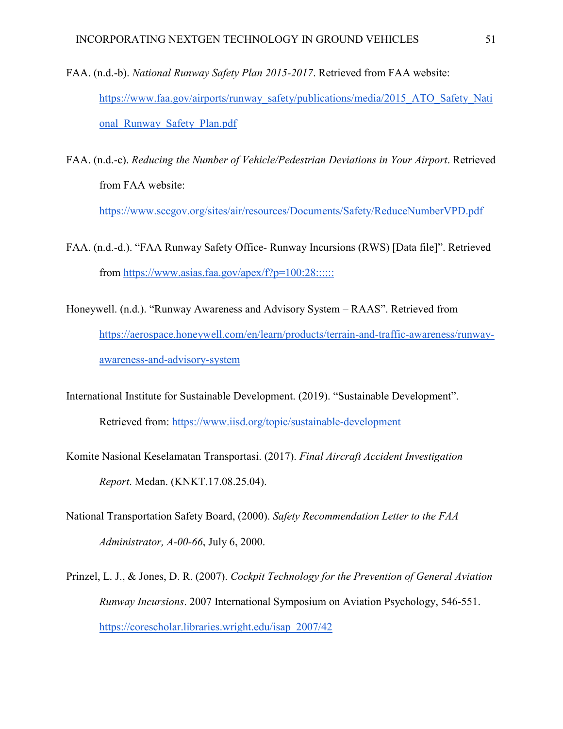- FAA. (n.d.-b). *National Runway Safety Plan 2015-2017*. Retrieved from FAA website[:](https://www.faa.gov/airports/runway_safety/publications/media/2015_ATO_Safety_National_Runway_Safety_Plan.pdf) [https://www.faa.gov/airports/runway\\_safety/publications/media/2015\\_ATO\\_Safety\\_Nati](https://www.faa.gov/airports/runway_safety/publications/media/2015_ATO_Safety_National_Runway_Safety_Plan.pdf) [onal\\_Runway\\_Safety\\_Plan.pdf](https://www.faa.gov/airports/runway_safety/publications/media/2015_ATO_Safety_National_Runway_Safety_Plan.pdf)
- FAA. (n.d.-c). *Reducing the Number of Vehicle/Pedestrian Deviations in Your Airport*. Retrieved from FAA website[:](https://www.sccgov.org/sites/air/resources/Documents/Safety/ReduceNumberVPD.pdf)

<https://www.sccgov.org/sites/air/resources/Documents/Safety/ReduceNumberVPD.pdf>

- FAA. (n.d.-d.). "FAA Runway Safety Office- Runway Incursions (RWS) [Data file]". Retrieved from<https://www.asias.faa.gov/apex/f?p=100:28::::::>
- Honeywell. (n.d.). "Runway Awareness and Advisory System RAAS". Retrieved fro[m](https://aerospace.honeywell.com/en/learn/products/terrain-and-traffic-awareness/runway-awareness-and-advisory-system) [https://aerospace.honeywell.com/en/learn/products/terrain-and-traffic-awareness/runway](https://aerospace.honeywell.com/en/learn/products/terrain-and-traffic-awareness/runway-awareness-and-advisory-system)[awareness-and-advisory-system](https://aerospace.honeywell.com/en/learn/products/terrain-and-traffic-awareness/runway-awareness-and-advisory-system)
- International Institute for Sustainable Development. (2019). "Sustainable Development". Retrieved from:<https://www.iisd.org/topic/sustainable-development>
- Komite Nasional Keselamatan Transportasi. (2017). *Final Aircraft Accident Investigation Report*. Medan. (KNKT.17.08.25.04).
- National Transportation Safety Board, (2000). *Safety Recommendation Letter to the FAA Administrator, A-00-66*, July 6, 2000.
- Prinzel, L. J., & Jones, D. R. (2007). *Cockpit Technology for the Prevention of General Aviation Runway Incursions*. 2007 International Symposium on Aviation Psychology, 546-551. [https://corescholar.libraries.wright.edu/isap\\_2007/42](https://corescholar.libraries.wright.edu/isap_2007/42)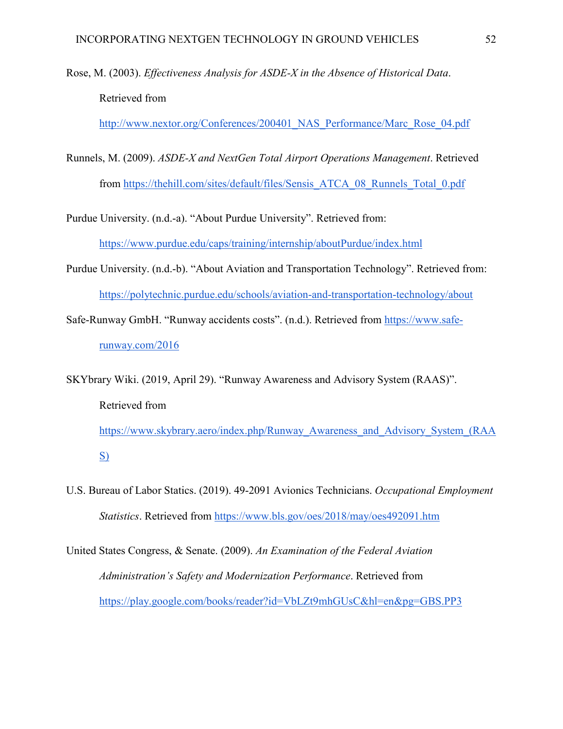Rose, M. (2003). *Effectiveness Analysis for ASDE-X in the Absence of Historical Data*. Retrieved from

[http://www.nextor.org/Conferences/200401\\_NAS\\_Performance/Marc\\_Rose\\_04.pdf](http://www.nextor.org/Conferences/200401_NAS_Performance/Marc_Rose_04.pdf)

Runnels, M. (2009). *ASDE-X and NextGen Total Airport Operations Management*. Retrieved from [https://thehill.com/sites/default/files/Sensis\\_ATCA\\_08\\_Runnels\\_Total\\_0.pdf](https://thehill.com/sites/default/files/Sensis_ATCA_08_Runnels_Total_0.pdf)

Purdue University. (n.d.-a). "About Purdue University". Retrieved from: <https://www.purdue.edu/caps/training/internship/aboutPurdue/index.html>

- Purdue University. (n.d.-b). "About Aviation and Transportation Technology". Retrieved from: <https://polytechnic.purdue.edu/schools/aviation-and-transportation-technology/about>
- Safe-Runway GmbH. "Runway accidents costs". (n.d.). Retrieved from [https://www.safe](https://www.safe-runway.com/2016)[runway.com/2016](https://www.safe-runway.com/2016)
- SKYbrary Wiki. (2019, April 29). "Runway Awareness and Advisory System (RAAS)". Retrieved from [https://www.skybrary.aero/index.php/Runway\\_Awareness\\_and\\_Advisory\\_System\\_\(RAA](https://www.skybrary.aero/index.php/Runway_Awareness_and_Advisory_System_(RAAS)) [S\)](https://www.skybrary.aero/index.php/Runway_Awareness_and_Advisory_System_(RAAS))
- U.S. Bureau of Labor Statics. (2019). 49-2091 Avionics Technicians. *Occupational Employment Statistics*. Retrieved from<https://www.bls.gov/oes/2018/may/oes492091.htm>

United States Congress, & Senate. (2009). *An Examination of the Federal Aviation Administration's Safety and Modernization Performance*. Retrieved from <https://play.google.com/books/reader?id=VbLZt9mhGUsC&hl=en&pg=GBS.PP3>